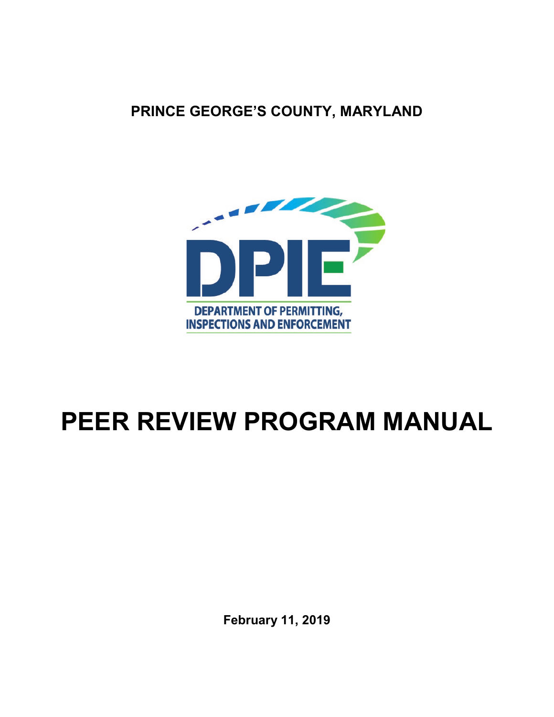**PRINCE GEORGE'S COUNTY, MARYLAND**



# **PEER REVIEW PROGRAM MANUAL**

**February 11, 2019**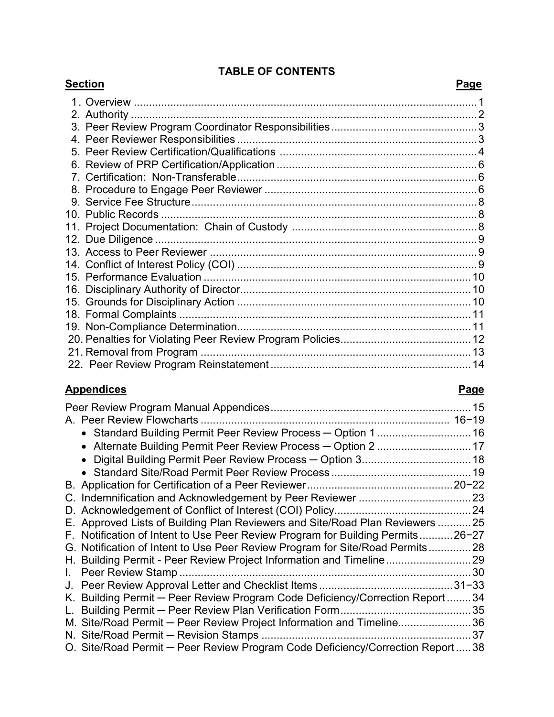### **TABLE OF CONTENTS**

| <u>Section</u>                                           | Page |
|----------------------------------------------------------|------|
|                                                          |      |
|                                                          |      |
|                                                          |      |
|                                                          |      |
|                                                          |      |
|                                                          |      |
|                                                          |      |
|                                                          |      |
|                                                          |      |
| 10.  Public Records ……………………………………………………………………………………………8 |      |
|                                                          |      |
|                                                          |      |
|                                                          |      |
|                                                          |      |
|                                                          |      |
|                                                          |      |
|                                                          |      |
|                                                          |      |
|                                                          |      |
|                                                          |      |
|                                                          |      |
|                                                          |      |

#### **Appendices Page**

| • Standard Building Permit Peer Review Process - Option 1 16                    |  |
|---------------------------------------------------------------------------------|--|
| • Alternate Building Permit Peer Review Process - Option 2  17                  |  |
|                                                                                 |  |
|                                                                                 |  |
|                                                                                 |  |
|                                                                                 |  |
|                                                                                 |  |
| E. Approved Lists of Building Plan Reviewers and Site/Road Plan Reviewers 25    |  |
| F. Notification of Intent to Use Peer Review Program for Building Permits26-27  |  |
| G. Notification of Intent to Use Peer Review Program for Site/Road Permits28    |  |
|                                                                                 |  |
|                                                                                 |  |
|                                                                                 |  |
| K. Building Permit - Peer Review Program Code Deficiency/Correction Report  34  |  |
|                                                                                 |  |
| M. Site/Road Permit - Peer Review Project Information and Timeline36            |  |
|                                                                                 |  |
| O. Site/Road Permit - Peer Review Program Code Deficiency/Correction Report  38 |  |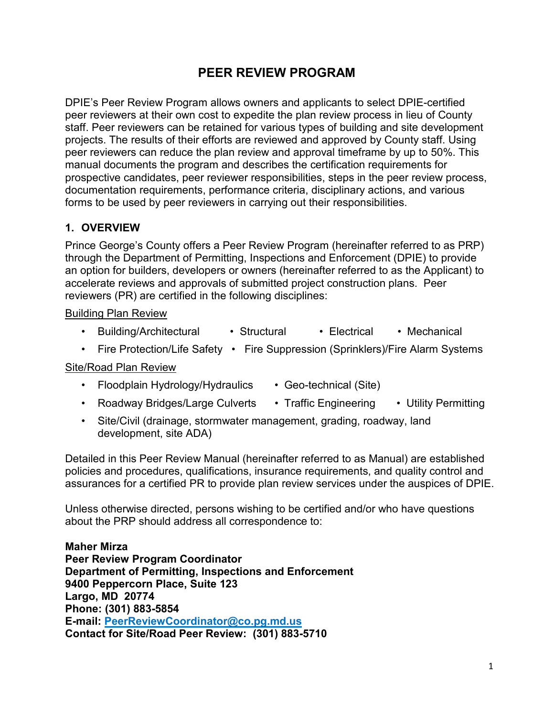### **PEER REVIEW PROGRAM**

DPIE's Peer Review Program allows owners and applicants to select DPIE-certified peer reviewers at their own cost to expedite the plan review process in lieu of County staff. Peer reviewers can be retained for various types of building and site development projects. The results of their efforts are reviewed and approved by County staff. Using peer reviewers can reduce the plan review and approval timeframe by up to 50%. This manual documents the program and describes the certification requirements for prospective candidates, peer reviewer responsibilities, steps in the peer review process, documentation requirements, performance criteria, disciplinary actions, and various forms to be used by peer reviewers in carrying out their responsibilities.

#### **1. OVERVIEW**

Prince George's County offers a Peer Review Program (hereinafter referred to as PRP) through the Department of Permitting, Inspections and Enforcement (DPIE) to provide an option for builders, developers or owners (hereinafter referred to as the Applicant) to accelerate reviews and approvals of submitted project construction plans. Peer reviewers (PR) are certified in the following disciplines:

#### Building Plan Review

- Building/Architectural Structural Electrical Mechanical
- Fire Protection/Life Safety Fire Suppression (Sprinklers)/Fire Alarm Systems

#### Site/Road Plan Review

- Floodplain Hydrology/Hydraulics Geo-technical (Site)
- Roadway Bridges/Large Culverts Traffic Engineering Utility Permitting
- Site/Civil (drainage, stormwater management, grading, roadway, land development, site ADA)

Detailed in this Peer Review Manual (hereinafter referred to as Manual) are established policies and procedures, qualifications, insurance requirements, and quality control and assurances for a certified PR to provide plan review services under the auspices of DPIE.

Unless otherwise directed, persons wishing to be certified and/or who have questions about the PRP should address all correspondence to:

**Maher Mirza Peer Review Program Coordinator Department of Permitting, Inspections and Enforcement 9400 Peppercorn Place, Suite 123 Largo, MD 20774 Phone: (301) 883-5854 E-mail: [PeerReviewCoordinator@co.pg.md.us](mailto:PeerReviewCoordinator@co.pg.md.us) Contact for Site/Road Peer Review: (301) 883-5710**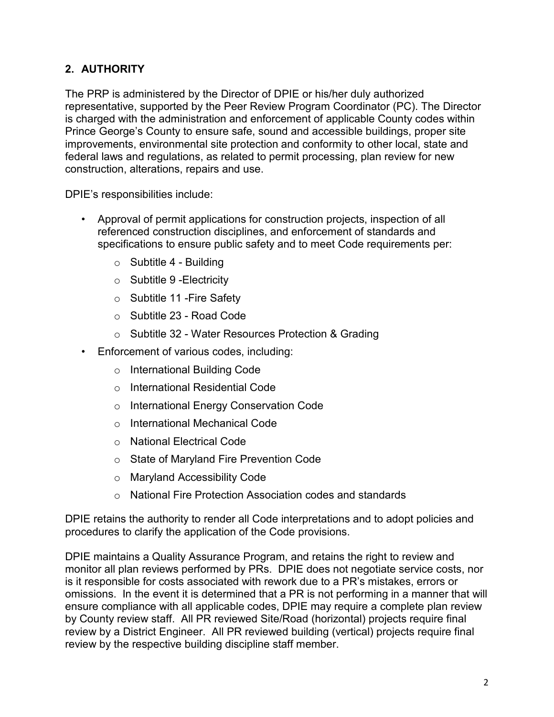#### **2. AUTHORITY**

The PRP is administered by the Director of DPIE or his/her duly authorized representative, supported by the Peer Review Program Coordinator (PC). The Director is charged with the administration and enforcement of applicable County codes within Prince George's County to ensure safe, sound and accessible buildings, proper site improvements, environmental site protection and conformity to other local, state and federal laws and regulations, as related to permit processing, plan review for new construction, alterations, repairs and use.

DPIE's responsibilities include:

- Approval of permit applications for construction projects, inspection of all referenced construction disciplines, and enforcement of standards and specifications to ensure public safety and to meet Code requirements per:
	- $\circ$  Subtitle 4 Building
	- $\circ$  Subtitle 9 Electricity
	- o Subtitle 11 -Fire Safety
	- o Subtitle 23 Road Code
	- o Subtitle 32 Water Resources Protection & Grading
- Enforcement of various codes, including:
	- o International Building Code
	- o International Residential Code
	- o International Energy Conservation Code
	- o International Mechanical Code
	- o National Electrical Code
	- o State of Maryland Fire Prevention Code
	- o Maryland Accessibility Code
	- o National Fire Protection Association codes and standards

DPIE retains the authority to render all Code interpretations and to adopt policies and procedures to clarify the application of the Code provisions.

DPIE maintains a Quality Assurance Program, and retains the right to review and monitor all plan reviews performed by PRs. DPIE does not negotiate service costs, nor is it responsible for costs associated with rework due to a PR's mistakes, errors or omissions. In the event it is determined that a PR is not performing in a manner that will ensure compliance with all applicable codes, DPIE may require a complete plan review by County review staff. All PR reviewed Site/Road (horizontal) projects require final review by a District Engineer. All PR reviewed building (vertical) projects require final review by the respective building discipline staff member.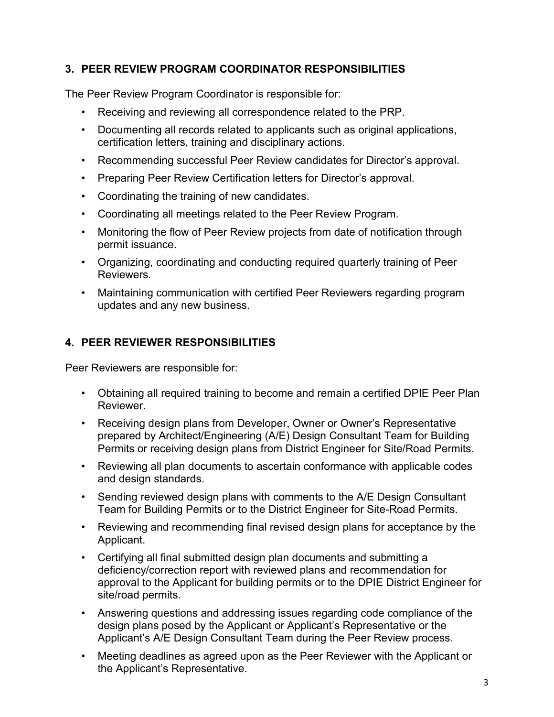#### **3. PEER REVIEW PROGRAM COORDINATOR RESPONSIBILITIES**

The Peer Review Program Coordinator is responsible for:

- Receiving and reviewing all correspondence related to the PRP.
- Documenting all records related to applicants such as original applications, certification letters, training and disciplinary actions.
- Recommending successful Peer Review candidates for Director's approval.
- Preparing Peer Review Certification letters for Director's approval.
- Coordinating the training of new candidates.
- Coordinating all meetings related to the Peer Review Program.
- Monitoring the flow of Peer Review projects from date of notification through permit issuance.
- Organizing, coordinating and conducting required quarterly training of Peer Reviewers.
- Maintaining communication with certified Peer Reviewers regarding program updates and any new business.

#### **4. PEER REVIEWER RESPONSIBILITIES**

Peer Reviewers are responsible for:

- Obtaining all required training to become and remain a certified DPIE Peer Plan Reviewer.
- Receiving design plans from Developer, Owner or Owner's Representative prepared by Architect/Engineering (A/E) Design Consultant Team for Building Permits or receiving design plans from District Engineer for Site/Road Permits.
- Reviewing all plan documents to ascertain conformance with applicable codes and design standards.
- Sending reviewed design plans with comments to the A/E Design Consultant Team for Building Permits or to the District Engineer for Site-Road Permits.
- Reviewing and recommending final revised design plans for acceptance by the Applicant.
- Certifying all final submitted design plan documents and submitting a deficiency/correction report with reviewed plans and recommendation for approval to the Applicant for building permits or to the DPIE District Engineer for site/road permits.
- Answering questions and addressing issues regarding code compliance of the design plans posed by the Applicant or Applicant's Representative or the Applicant's A/E Design Consultant Team during the Peer Review process.
- Meeting deadlines as agreed upon as the Peer Reviewer with the Applicant or the Applicant's Representative.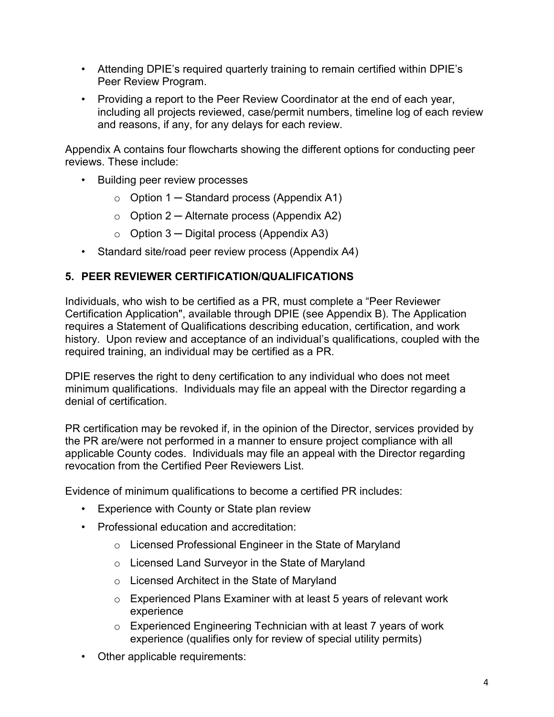- Attending DPIE's required quarterly training to remain certified within DPIE's Peer Review Program.
- Providing a report to the Peer Review Coordinator at the end of each year, including all projects reviewed, case/permit numbers, timeline log of each review and reasons, if any, for any delays for each review.

Appendix A contains four flowcharts showing the different options for conducting peer reviews. These include:

- Building peer review processes
	- $\circ$  Option 1 Standard process (Appendix A1)
	- $\circ$  Option 2 Alternate process (Appendix A2)
	- $\circ$  Option 3 Digital process (Appendix A3)
- Standard site/road peer review process (Appendix A4)

#### **5. PEER REVIEWER CERTIFICATION/QUALIFICATIONS**

Individuals, who wish to be certified as a PR, must complete a "Peer Reviewer Certification Application", available through DPIE (see Appendix B). The Application requires a Statement of Qualifications describing education, certification, and work history. Upon review and acceptance of an individual's qualifications, coupled with the required training, an individual may be certified as a PR.

DPIE reserves the right to deny certification to any individual who does not meet minimum qualifications. Individuals may file an appeal with the Director regarding a denial of certification.

PR certification may be revoked if, in the opinion of the Director, services provided by the PR are/were not performed in a manner to ensure project compliance with all applicable County codes. Individuals may file an appeal with the Director regarding revocation from the Certified Peer Reviewers List.

Evidence of minimum qualifications to become a certified PR includes:

- Experience with County or State plan review
- Professional education and accreditation:
	- o Licensed Professional Engineer in the State of Maryland
	- o Licensed Land Surveyor in the State of Maryland
	- o Licensed Architect in the State of Maryland
	- o Experienced Plans Examiner with at least 5 years of relevant work experience
	- o Experienced Engineering Technician with at least 7 years of work experience (qualifies only for review of special utility permits)
- Other applicable requirements: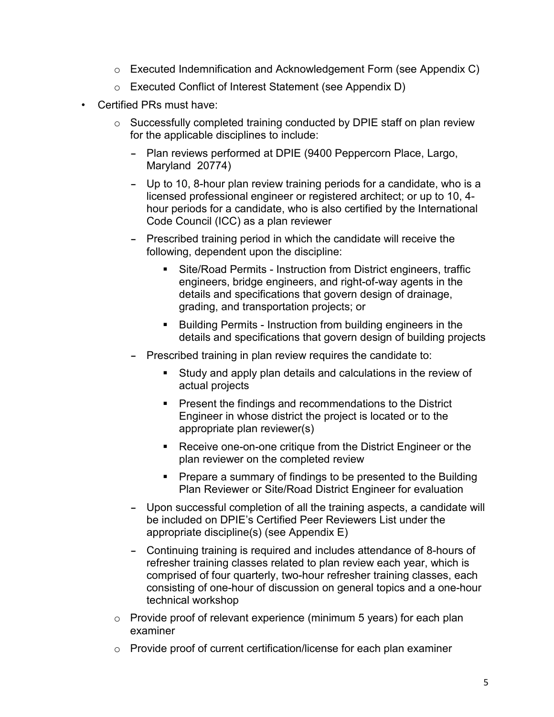- o Executed Indemnification and Acknowledgement Form (see Appendix C)
- o Executed Conflict of Interest Statement (see Appendix D)
- Certified PRs must have:
	- o Successfully completed training conducted by DPIE staff on plan review for the applicable disciplines to include:
		- Plan reviews performed at DPIE (9400 Peppercorn Place, Largo, Maryland 20774)
		- Up to 10, 8-hour plan review training periods for a candidate, who is a licensed professional engineer or registered architect; or up to 10, 4 hour periods for a candidate, who is also certified by the International Code Council (ICC) as a plan reviewer
		- Prescribed training period in which the candidate will receive the following, dependent upon the discipline:
			- Site/Road Permits Instruction from District engineers, traffic engineers, bridge engineers, and right-of-way agents in the details and specifications that govern design of drainage, grading, and transportation projects; or
			- Building Permits Instruction from building engineers in the details and specifications that govern design of building projects
		- Prescribed training in plan review requires the candidate to:
			- Study and apply plan details and calculations in the review of actual projects
			- **Present the findings and recommendations to the District** Engineer in whose district the project is located or to the appropriate plan reviewer(s)
			- **Receive one-on-one critique from the District Engineer or the** plan reviewer on the completed review
			- **Prepare a summary of findings to be presented to the Building** Plan Reviewer or Site/Road District Engineer for evaluation
		- Upon successful completion of all the training aspects, a candidate will be included on DPIE's Certified Peer Reviewers List under the appropriate discipline(s) (see Appendix E)
		- Continuing training is required and includes attendance of 8-hours of refresher training classes related to plan review each year, which is comprised of four quarterly, two-hour refresher training classes, each consisting of one-hour of discussion on general topics and a one-hour technical workshop
	- $\circ$  Provide proof of relevant experience (minimum 5 years) for each plan examiner
	- o Provide proof of current certification/license for each plan examiner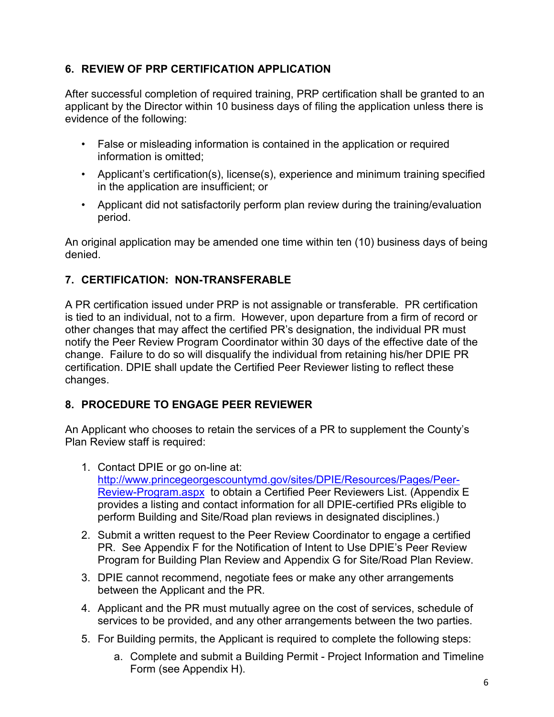#### **6. REVIEW OF PRP CERTIFICATION APPLICATION**

After successful completion of required training, PRP certification shall be granted to an applicant by the Director within 10 business days of filing the application unless there is evidence of the following:

- False or misleading information is contained in the application or required information is omitted;
- Applicant's certification(s), license(s), experience and minimum training specified in the application are insufficient; or
- Applicant did not satisfactorily perform plan review during the training/evaluation period.

An original application may be amended one time within ten (10) business days of being denied.

#### **7. CERTIFICATION: NON-TRANSFERABLE**

A PR certification issued under PRP is not assignable or transferable. PR certification is tied to an individual, not to a firm. However, upon departure from a firm of record or other changes that may affect the certified PR's designation, the individual PR must notify the Peer Review Program Coordinator within 30 days of the effective date of the change. Failure to do so will disqualify the individual from retaining his/her DPIE PR certification. DPIE shall update the Certified Peer Reviewer listing to reflect these changes.

#### **8. PROCEDURE TO ENGAGE PEER REVIEWER**

An Applicant who chooses to retain the services of a PR to supplement the County's Plan Review staff is required:

- 1. Contact DPIE or go on-line at: [http://www.princegeorgescountymd.gov/sites/DPIE/Resources/Pages/Peer-](http://www.princegeorgescountymd.gov/sites/DPIE/Resources/Pages/Peer-Review-Program.aspx)[Review-Program.aspx](http://www.princegeorgescountymd.gov/sites/DPIE/Resources/Pages/Peer-Review-Program.aspx) to obtain a Certified Peer Reviewers List. (Appendix E provides a listing and contact information for all DPIE-certified PRs eligible to perform Building and Site/Road plan reviews in designated disciplines.)
- 2. Submit a written request to the Peer Review Coordinator to engage a certified PR. See Appendix F for the Notification of Intent to Use DPIE's Peer Review Program for Building Plan Review and Appendix G for Site/Road Plan Review.
- 3. DPIE cannot recommend, negotiate fees or make any other arrangements between the Applicant and the PR.
- 4. Applicant and the PR must mutually agree on the cost of services, schedule of services to be provided, and any other arrangements between the two parties.
- 5. For Building permits, the Applicant is required to complete the following steps:
	- a. Complete and submit a Building Permit Project Information and Timeline Form (see Appendix H).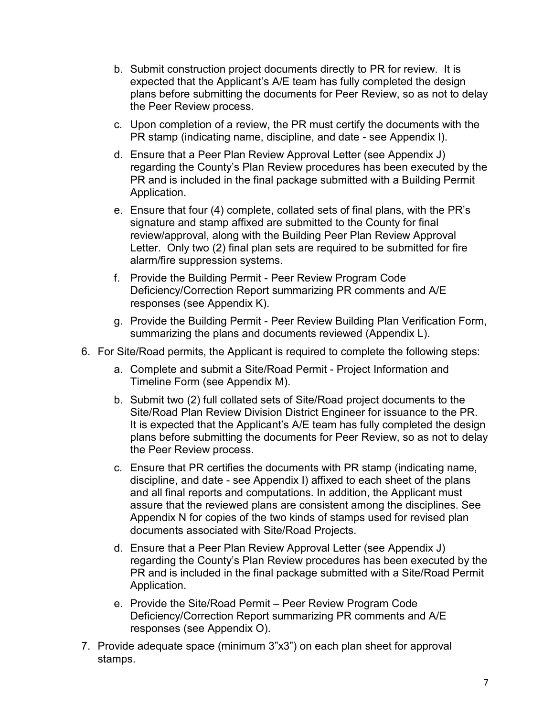- b. Submit construction project documents directly to PR for review. It is expected that the Applicant's A/E team has fully completed the design plans before submitting the documents for Peer Review, so as not to delay the Peer Review process.
- c. Upon completion of a review, the PR must certify the documents with the PR stamp (indicating name, discipline, and date - see Appendix I).
- d. Ensure that a Peer Plan Review Approval Letter (see Appendix J) regarding the County's Plan Review procedures has been executed by the PR and is included in the final package submitted with a Building Permit Application.
- e. Ensure that four (4) complete, collated sets of final plans, with the PR's signature and stamp affixed are submitted to the County for final review/approval, along with the Building Peer Plan Review Approval Letter. Only two (2) final plan sets are required to be submitted for fire alarm/fire suppression systems.
- f. Provide the Building Permit Peer Review Program Code Deficiency/Correction Report summarizing PR comments and A/E responses (see Appendix K).
- g. Provide the Building Permit Peer Review Building Plan Verification Form, summarizing the plans and documents reviewed (Appendix L).
- 6. For Site/Road permits, the Applicant is required to complete the following steps:
	- a. Complete and submit a Site/Road Permit Project Information and Timeline Form (see Appendix M).
	- b. Submit two (2) full collated sets of Site/Road project documents to the Site/Road Plan Review Division District Engineer for issuance to the PR. It is expected that the Applicant's A/E team has fully completed the design plans before submitting the documents for Peer Review, so as not to delay the Peer Review process.
	- c. Ensure that PR certifies the documents with PR stamp (indicating name, discipline, and date - see Appendix I) affixed to each sheet of the plans and all final reports and computations. In addition, the Applicant must assure that the reviewed plans are consistent among the disciplines. See Appendix N for copies of the two kinds of stamps used for revised plan documents associated with Site/Road Projects.
	- d. Ensure that a Peer Plan Review Approval Letter (see Appendix J) regarding the County's Plan Review procedures has been executed by the PR and is included in the final package submitted with a Site/Road Permit Application.
	- e. Provide the Site/Road Permit Peer Review Program Code Deficiency/Correction Report summarizing PR comments and A/E responses (see Appendix O).
- 7. Provide adequate space (minimum 3"x3") on each plan sheet for approval stamps.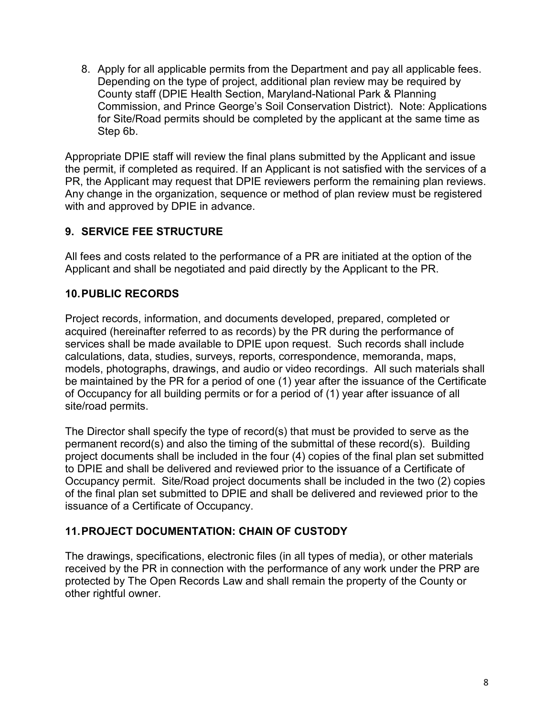8. Apply for all applicable permits from the Department and pay all applicable fees. Depending on the type of project, additional plan review may be required by County staff (DPIE Health Section, Maryland-National Park & Planning Commission, and Prince George's Soil Conservation District). Note: Applications for Site/Road permits should be completed by the applicant at the same time as Step 6b.

Appropriate DPIE staff will review the final plans submitted by the Applicant and issue the permit, if completed as required. If an Applicant is not satisfied with the services of a PR, the Applicant may request that DPIE reviewers perform the remaining plan reviews. Any change in the organization, sequence or method of plan review must be registered with and approved by DPIE in advance.

#### **9. SERVICE FEE STRUCTURE**

All fees and costs related to the performance of a PR are initiated at the option of the Applicant and shall be negotiated and paid directly by the Applicant to the PR.

#### **10.PUBLIC RECORDS**

Project records, information, and documents developed, prepared, completed or acquired (hereinafter referred to as records) by the PR during the performance of services shall be made available to DPIE upon request. Such records shall include calculations, data, studies, surveys, reports, correspondence, memoranda, maps, models, photographs, drawings, and audio or video recordings. All such materials shall be maintained by the PR for a period of one (1) year after the issuance of the Certificate of Occupancy for all building permits or for a period of (1) year after issuance of all site/road permits.

The Director shall specify the type of record(s) that must be provided to serve as the permanent record(s) and also the timing of the submittal of these record(s). Building project documents shall be included in the four (4) copies of the final plan set submitted to DPIE and shall be delivered and reviewed prior to the issuance of a Certificate of Occupancy permit. Site/Road project documents shall be included in the two (2) copies of the final plan set submitted to DPIE and shall be delivered and reviewed prior to the issuance of a Certificate of Occupancy.

#### **11.PROJECT DOCUMENTATION: CHAIN OF CUSTODY**

The drawings, specifications, electronic files (in all types of media), or other materials received by the PR in connection with the performance of any work under the PRP are protected by The Open Records Law and shall remain the property of the County or other rightful owner.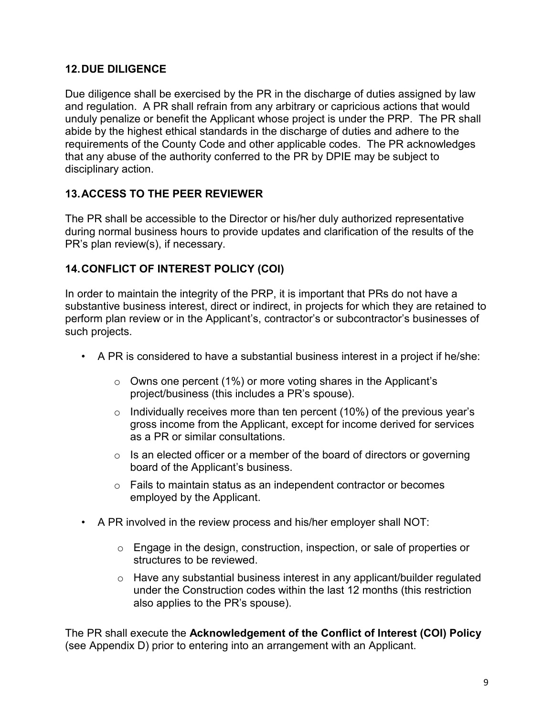#### **12.DUE DILIGENCE**

Due diligence shall be exercised by the PR in the discharge of duties assigned by law and regulation. A PR shall refrain from any arbitrary or capricious actions that would unduly penalize or benefit the Applicant whose project is under the PRP. The PR shall abide by the highest ethical standards in the discharge of duties and adhere to the requirements of the County Code and other applicable codes. The PR acknowledges that any abuse of the authority conferred to the PR by DPIE may be subject to disciplinary action.

#### **13.ACCESS TO THE PEER REVIEWER**

The PR shall be accessible to the Director or his/her duly authorized representative during normal business hours to provide updates and clarification of the results of the PR's plan review(s), if necessary.

#### **14.CONFLICT OF INTEREST POLICY (COI)**

In order to maintain the integrity of the PRP, it is important that PRs do not have a substantive business interest, direct or indirect, in projects for which they are retained to perform plan review or in the Applicant's, contractor's or subcontractor's businesses of such projects.

- A PR is considered to have a substantial business interest in a project if he/she:
	- $\circ$  Owns one percent (1%) or more voting shares in the Applicant's project/business (this includes a PR's spouse).
	- $\circ$  Individually receives more than ten percent (10%) of the previous year's gross income from the Applicant, except for income derived for services as a PR or similar consultations.
	- $\circ$  Is an elected officer or a member of the board of directors or governing board of the Applicant's business.
	- o Fails to maintain status as an independent contractor or becomes employed by the Applicant.
- A PR involved in the review process and his/her employer shall NOT:
	- o Engage in the design, construction, inspection, or sale of properties or structures to be reviewed.
	- o Have any substantial business interest in any applicant/builder regulated under the Construction codes within the last 12 months (this restriction also applies to the PR's spouse).

The PR shall execute the **Acknowledgement of the Conflict of Interest (COI) Policy**  (see Appendix D) prior to entering into an arrangement with an Applicant.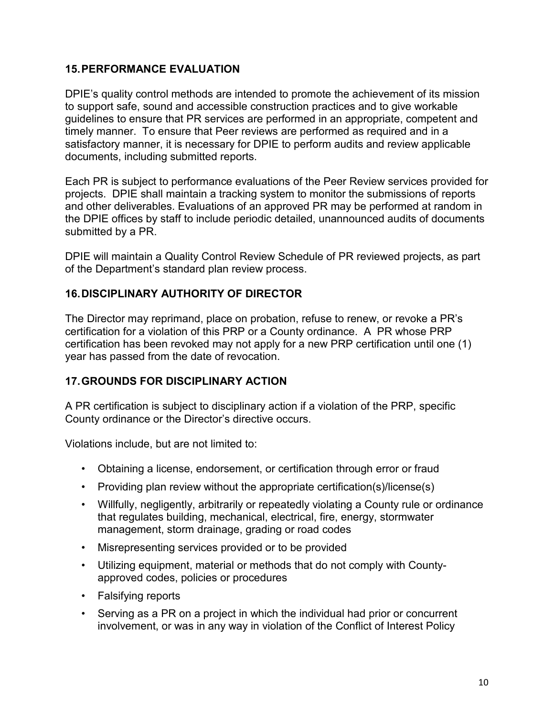#### **15.PERFORMANCE EVALUATION**

DPIE's quality control methods are intended to promote the achievement of its mission to support safe, sound and accessible construction practices and to give workable guidelines to ensure that PR services are performed in an appropriate, competent and timely manner. To ensure that Peer reviews are performed as required and in a satisfactory manner, it is necessary for DPIE to perform audits and review applicable documents, including submitted reports.

Each PR is subject to performance evaluations of the Peer Review services provided for projects. DPIE shall maintain a tracking system to monitor the submissions of reports and other deliverables. Evaluations of an approved PR may be performed at random in the DPIE offices by staff to include periodic detailed, unannounced audits of documents submitted by a PR.

DPIE will maintain a Quality Control Review Schedule of PR reviewed projects, as part of the Department's standard plan review process.

#### **16.DISCIPLINARY AUTHORITY OF DIRECTOR**

The Director may reprimand, place on probation, refuse to renew, or revoke a PR's certification for a violation of this PRP or a County ordinance. A PR whose PRP certification has been revoked may not apply for a new PRP certification until one (1) year has passed from the date of revocation.

#### **17.GROUNDS FOR DISCIPLINARY ACTION**

A PR certification is subject to disciplinary action if a violation of the PRP, specific County ordinance or the Director's directive occurs.

Violations include, but are not limited to:

- Obtaining a license, endorsement, or certification through error or fraud
- Providing plan review without the appropriate certification(s)/license(s)
- Willfully, negligently, arbitrarily or repeatedly violating a County rule or ordinance that regulates building, mechanical, electrical, fire, energy, stormwater management, storm drainage, grading or road codes
- Misrepresenting services provided or to be provided
- Utilizing equipment, material or methods that do not comply with Countyapproved codes, policies or procedures
- Falsifying reports
- Serving as a PR on a project in which the individual had prior or concurrent involvement, or was in any way in violation of the Conflict of Interest Policy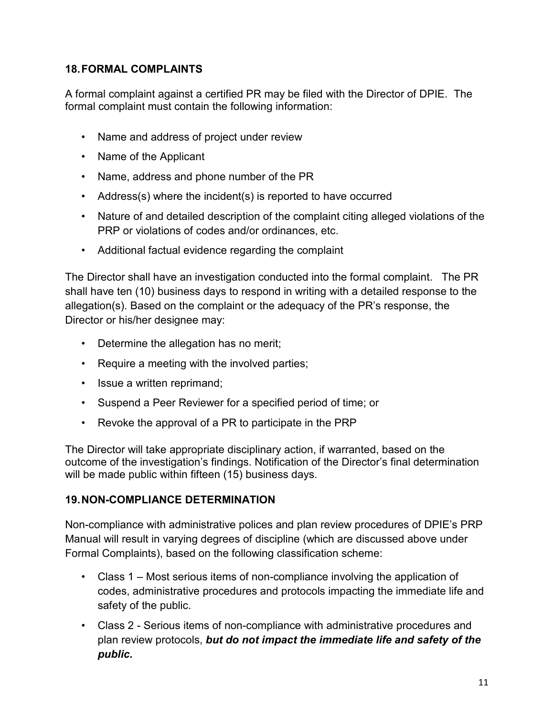#### **18.FORMAL COMPLAINTS**

A formal complaint against a certified PR may be filed with the Director of DPIE. The formal complaint must contain the following information:

- Name and address of project under review
- Name of the Applicant
- Name, address and phone number of the PR
- Address(s) where the incident(s) is reported to have occurred
- Nature of and detailed description of the complaint citing alleged violations of the PRP or violations of codes and/or ordinances, etc.
- Additional factual evidence regarding the complaint

The Director shall have an investigation conducted into the formal complaint. The PR shall have ten (10) business days to respond in writing with a detailed response to the allegation(s). Based on the complaint or the adequacy of the PR's response, the Director or his/her designee may:

- Determine the allegation has no merit;
- Require a meeting with the involved parties;
- Issue a written reprimand;
- Suspend a Peer Reviewer for a specified period of time; or
- Revoke the approval of a PR to participate in the PRP

The Director will take appropriate disciplinary action, if warranted, based on the outcome of the investigation's findings. Notification of the Director's final determination will be made public within fifteen (15) business days.

#### **19.NON-COMPLIANCE DETERMINATION**

Non-compliance with administrative polices and plan review procedures of DPIE's PRP Manual will result in varying degrees of discipline (which are discussed above under Formal Complaints), based on the following classification scheme:

- Class 1 Most serious items of non-compliance involving the application of codes, administrative procedures and protocols impacting the immediate life and safety of the public.
- Class 2 Serious items of non-compliance with administrative procedures and plan review protocols, *but do not impact the immediate life and safety of the public.*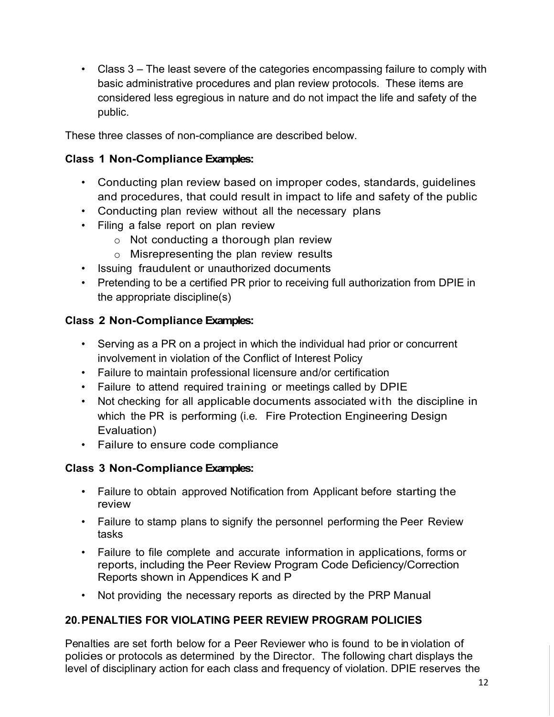• Class 3 – The least severe of the categories encompassing failure to comply with basic administrative procedures and plan review protocols. These items are considered less egregious in nature and do not impact the life and safety of the public.

These three classes of non-compliance are described below.

#### **Class 1 Non-Compliance Examples:**

- Conducting plan review based on improper codes, standards, guidelines and procedures, that could result in impact to life and safety of the public
- Conducting plan review without all the necessary plans
- Filing a false report on plan review
	- o Not conducting a thorough plan review
	- o Misrepresenting the plan review results
- Issuing fraudulent or unauthorized documents
- Pretending to be a certified PR prior to receiving full authorization from DPIE in the appropriate discipline(s)

#### **Class 2 Non-Compliance Examples:**

- Serving as a PR on a project in which the individual had prior or concurrent involvement in violation of the Conflict of Interest Policy
- Failure to maintain professional licensure and/or certification
- Failure to attend required training or meetings called by DPIE
- Not checking for all applicable documents associated with the discipline in which the PR is performing (i.e. Fire Protection Engineering Design Evaluation)
- Failure to ensure code compliance

#### **Class 3 Non-Compliance Examples:**

- Failure to obtain approved Notification from Applicant before starting the review
- Failure to stamp plans to signify the personnel performing the Peer Review tasks
- Failure to file complete and accurate information in applications, forms or reports, including the Peer Review Program Code Deficiency/Correction Reports shown in Appendices K and P
- Not providing the necessary reports as directed by the PRP Manual

#### **20.PENALTIES FOR VIOLATING PEER REVIEW PROGRAM POLICIES**

Penalties are set forth below for a Peer Reviewer who is found to be in violation of policies or protocols as determined by the Director. The following chart displays the level of disciplinary action for each class and frequency of violation. DPIE reserves the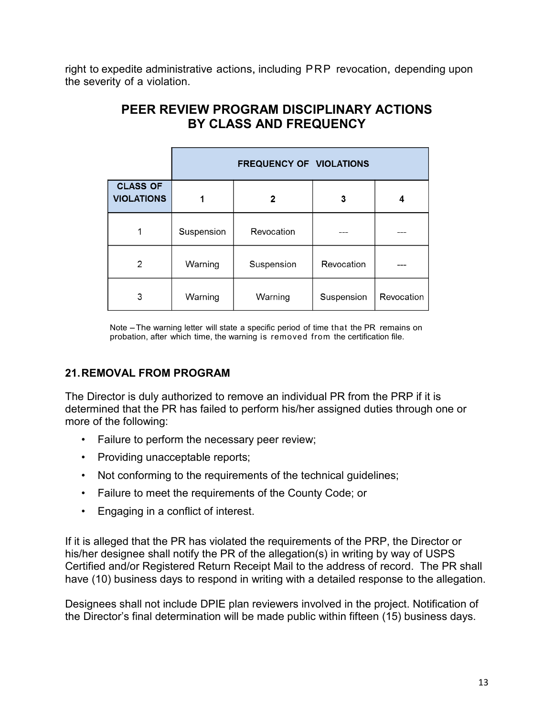right to expedite administrative actions, including PRP revocation, depending upon the severity of a violation.

| PEER REVIEW PROGRAM DISCIPLINARY ACTIONS |  |
|------------------------------------------|--|
| BY CLASS AND FREQUENCY                   |  |

|                                      | <b>FREQUENCY OF VIOLATIONS</b> |            |            |            |
|--------------------------------------|--------------------------------|------------|------------|------------|
| <b>CLASS OF</b><br><b>VIOLATIONS</b> |                                | 2          | 3          | 4          |
|                                      | Suspension                     | Revocation |            |            |
| 2                                    | Warning                        | Suspension | Revocation |            |
| 3                                    | Warning                        | Warning    | Suspension | Revocation |

Note -The warning letter will state a specific period of time that the PR remains on probation, after which time, the warning is removed from the certification file.

#### **21.REMOVAL FROM PROGRAM**

The Director is duly authorized to remove an individual PR from the PRP if it is determined that the PR has failed to perform his/her assigned duties through one or more of the following:

- Failure to perform the necessary peer review;
- Providing unacceptable reports;
- Not conforming to the requirements of the technical guidelines;
- Failure to meet the requirements of the County Code; or
- Engaging in a conflict of interest.

If it is alleged that the PR has violated the requirements of the PRP, the Director or his/her designee shall notify the PR of the allegation(s) in writing by way of USPS Certified and/or Registered Return Receipt Mail to the address of record. The PR shall have (10) business days to respond in writing with a detailed response to the allegation.

Designees shall not include DPIE plan reviewers involved in the project. Notification of the Director's final determination will be made public within fifteen (15) business days.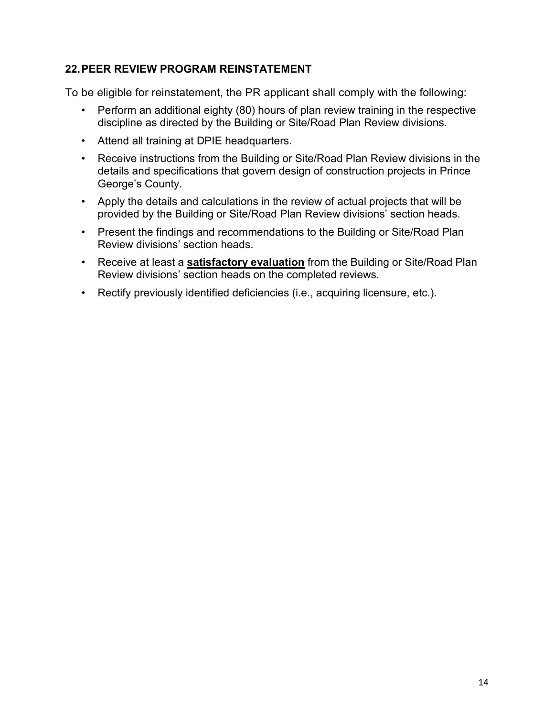#### **22.PEER REVIEW PROGRAM REINSTATEMENT**

To be eligible for reinstatement, the PR applicant shall comply with the following:

- Perform an additional eighty (80) hours of plan review training in the respective discipline as directed by the Building or Site/Road Plan Review divisions.
- Attend all training at DPIE headquarters.
- Receive instructions from the Building or Site/Road Plan Review divisions in the details and specifications that govern design of construction projects in Prince George's County.
- Apply the details and calculations in the review of actual projects that will be provided by the Building or Site/Road Plan Review divisions' section heads.
- Present the findings and recommendations to the Building or Site/Road Plan Review divisions' section heads.
- Receive at least a **satisfactory evaluation** from the Building or Site/Road Plan Review divisions' section heads on the completed reviews.
- Rectify previously identified deficiencies (i.e., acquiring licensure, etc.).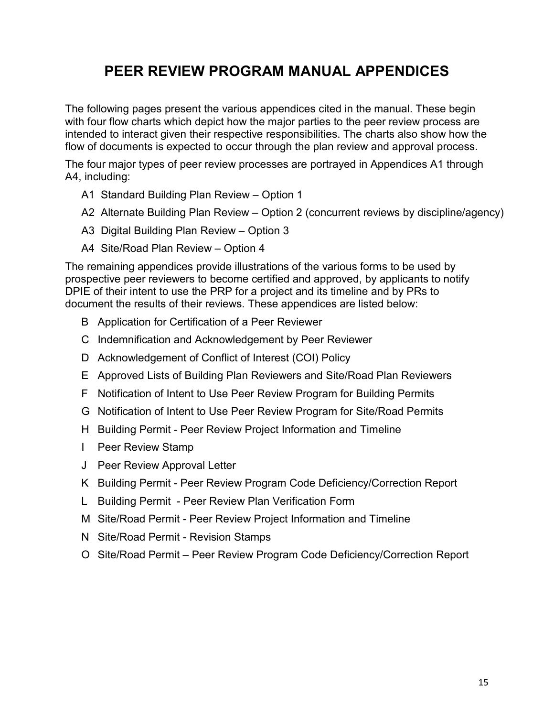### **PEER REVIEW PROGRAM MANUAL APPENDICES**

The following pages present the various appendices cited in the manual. These begin with four flow charts which depict how the major parties to the peer review process are intended to interact given their respective responsibilities. The charts also show how the flow of documents is expected to occur through the plan review and approval process.

The four major types of peer review processes are portrayed in Appendices A1 through A4, including:

- A1 Standard Building Plan Review Option 1
- A2 Alternate Building Plan Review Option 2 (concurrent reviews by discipline/agency)
- A3 Digital Building Plan Review Option 3
- A4 Site/Road Plan Review Option 4

The remaining appendices provide illustrations of the various forms to be used by prospective peer reviewers to become certified and approved, by applicants to notify DPIE of their intent to use the PRP for a project and its timeline and by PRs to document the results of their reviews. These appendices are listed below:

- B Application for Certification of a Peer Reviewer
- C Indemnification and Acknowledgement by Peer Reviewer
- D Acknowledgement of Conflict of Interest (COI) Policy
- E Approved Lists of Building Plan Reviewers and Site/Road Plan Reviewers
- F Notification of Intent to Use Peer Review Program for Building Permits
- G Notification of Intent to Use Peer Review Program for Site/Road Permits
- H Building Permit Peer Review Project Information and Timeline
- I Peer Review Stamp
- J Peer Review Approval Letter
- K Building Permit Peer Review Program Code Deficiency/Correction Report
- L Building Permit Peer Review Plan Verification Form
- M Site/Road Permit Peer Review Project Information and Timeline
- N Site/Road Permit Revision Stamps
- O Site/Road Permit Peer Review Program Code Deficiency/Correction Report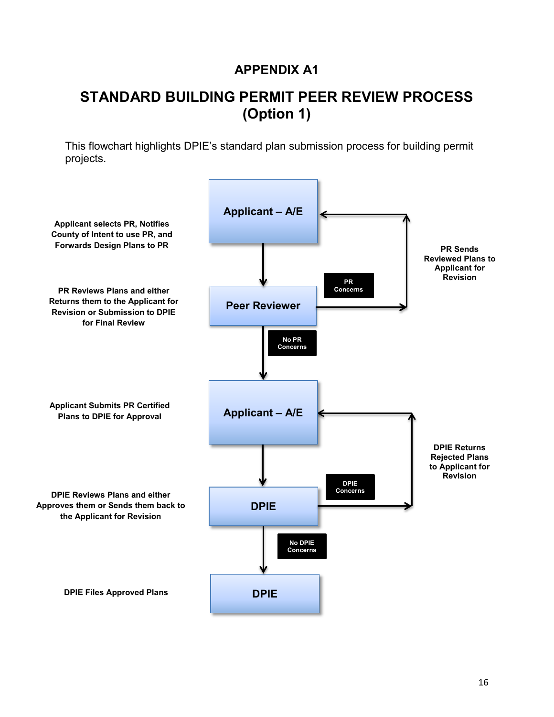### **STANDARD BUILDING PERMIT PEER REVIEW PROCESS (Option 1)**

This flowchart highlights DPIE's standard plan submission process for building permit projects.

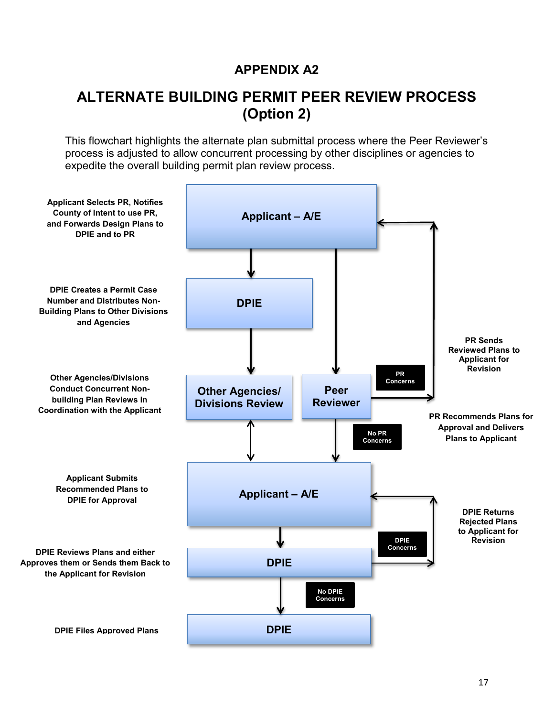### **ALTERNATE BUILDING PERMIT PEER REVIEW PROCESS (Option 2)**

This flowchart highlights the alternate plan submittal process where the Peer Reviewer's process is adjusted to allow concurrent processing by other disciplines or agencies to expedite the overall building permit plan review process.

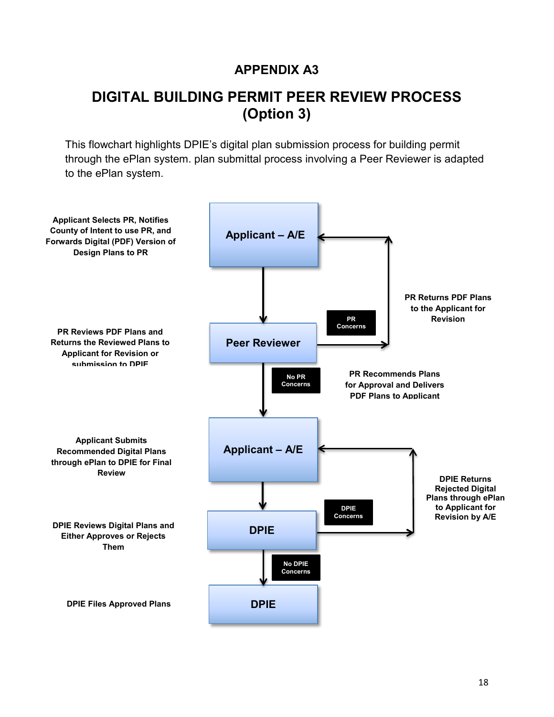### **DIGITAL BUILDING PERMIT PEER REVIEW PROCESS (Option 3)**

This flowchart highlights DPIE's digital plan submission process for building permit through the ePlan system. plan submittal process involving a Peer Reviewer is adapted to the ePlan system.

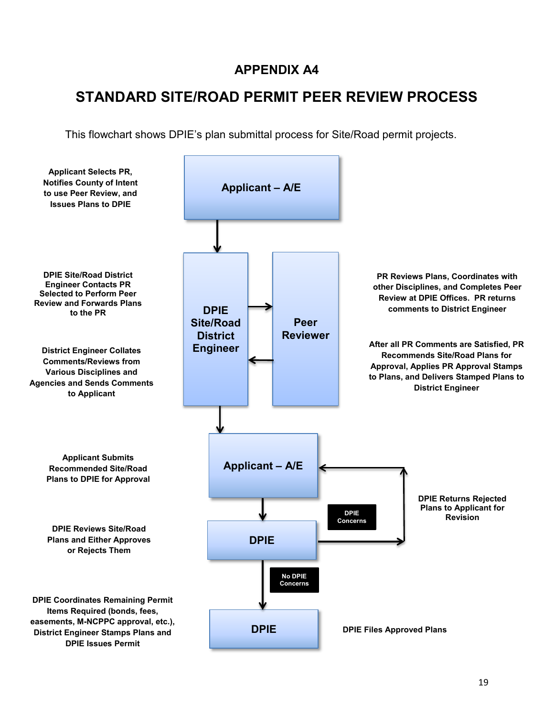### **STANDARD SITE/ROAD PERMIT PEER REVIEW PROCESS**

This flowchart shows DPIE's plan submittal process for Site/Road permit projects.

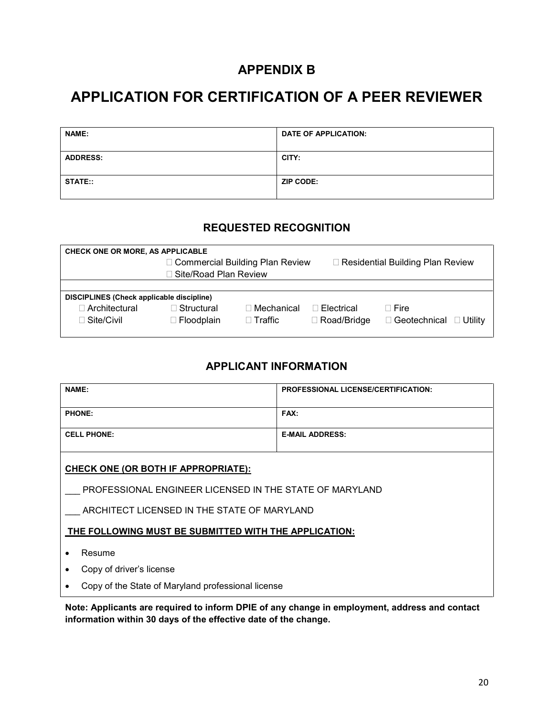### **APPENDIX B**

### **APPLICATION FOR CERTIFICATION OF A PEER REVIEWER**

| <b>NAME:</b>    | <b>DATE OF APPLICATION:</b> |
|-----------------|-----------------------------|
| <b>ADDRESS:</b> | CITY:                       |
| <b>STATE::</b>  | ZIP CODE:                   |

#### **REQUESTED RECOGNITION**

| <b>CHECK ONE OR MORE, AS APPLICABLE</b> |                                                  |                |                    |                                    |  |  |
|-----------------------------------------|--------------------------------------------------|----------------|--------------------|------------------------------------|--|--|
|                                         | □ Commercial Building Plan Review                |                |                    | □ Residential Building Plan Review |  |  |
| Site/Road Plan Review                   |                                                  |                |                    |                                    |  |  |
|                                         |                                                  |                |                    |                                    |  |  |
|                                         | <b>DISCIPLINES (Check applicable discipline)</b> |                |                    |                                    |  |  |
| ∃ Architectural.                        | ∃ Structural                                     | Mechanical     | Electrical         | ∃ Fire                             |  |  |
| ∃ Site/Civil                            | $\Box$ Floodplain                                | $\Box$ Traffic | $\Box$ Road/Bridge | □ Geotechnical<br>Utilitv          |  |  |

#### **APPLICANT INFORMATION**

| <b>NAME:</b>       | <b>PROFESSIONAL LICENSE/CERTIFICATION:</b> |
|--------------------|--------------------------------------------|
| <b>PHONE:</b>      | FAX:                                       |
| <b>CELL PHONE:</b> | <b>E-MAIL ADDRESS:</b>                     |

#### **CHECK ONE (OR BOTH IF APPROPRIATE):**

PROFESSIONAL ENGINEER LICENSED IN THE STATE OF MARYLAND

ARCHITECT LICENSED IN THE STATE OF MARYLAND

**THE FOLLOWING MUST BE SUBMITTED WITH THE APPLICATION:**

• Resume

• Copy of driver's license

• Copy of the State of Maryland professional license

**Note: Applicants are required to inform DPIE of any change in employment, address and contact information within 30 days of the effective date of the change.**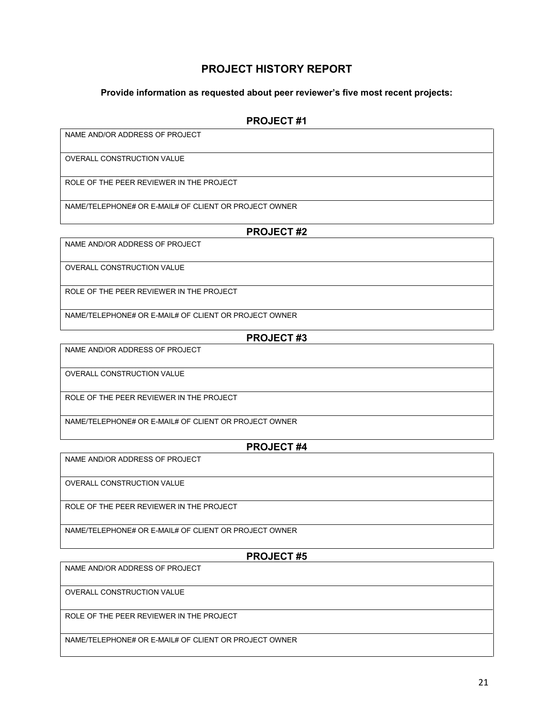#### **PROJECT HISTORY REPORT**

#### **Provide information as requested about peer reviewer's five most recent projects:**

#### **PROJECT #1**

NAME AND/OR ADDRESS OF PROJECT

OVERALL CONSTRUCTION VALUE

ROLE OF THE PEER REVIEWER IN THE PROJECT

NAME/TELEPHONE# OR E-MAIL# OF CLIENT OR PROJECT OWNER

#### **PROJECT #2**

NAME AND/OR ADDRESS OF PROJECT

OVERALL CONSTRUCTION VALUE

ROLE OF THE PEER REVIEWER IN THE PROJECT

NAME/TELEPHONE# OR E-MAIL# OF CLIENT OR PROJECT OWNER

#### **PROJECT #3**

NAME AND/OR ADDRESS OF PROJECT

OVERALL CONSTRUCTION VALUE

ROLE OF THE PEER REVIEWER IN THE PROJECT

NAME/TELEPHONE# OR E-MAIL# OF CLIENT OR PROJECT OWNER

#### **PROJECT #4**

NAME AND/OR ADDRESS OF PROJECT

OVERALL CONSTRUCTION VALUE

ROLE OF THE PEER REVIEWER IN THE PROJECT

NAME/TELEPHONE# OR E-MAIL# OF CLIENT OR PROJECT OWNER

**PROJECT #5**

NAME AND/OR ADDRESS OF PROJECT

OVERALL CONSTRUCTION VALUE

ROLE OF THE PEER REVIEWER IN THE PROJECT

NAME/TELEPHONE# OR E-MAIL# OF CLIENT OR PROJECT OWNER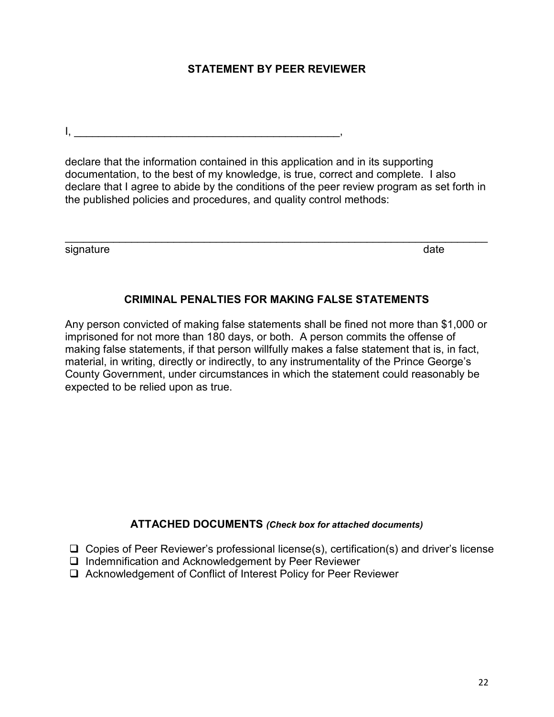#### **STATEMENT BY PEER REVIEWER**

 $\mathsf{I}, \mathsf{I}$ 

declare that the information contained in this application and in its supporting documentation, to the best of my knowledge, is true, correct and complete. I also declare that I agree to abide by the conditions of the peer review program as set forth in the published policies and procedures, and quality control methods:

\_\_\_\_\_\_\_\_\_\_\_\_\_\_\_\_\_\_\_\_\_\_\_\_\_\_\_\_\_\_\_\_\_\_\_\_\_\_\_\_\_\_\_\_\_\_\_\_\_\_\_\_\_\_\_\_\_\_\_\_\_\_\_\_\_\_\_\_\_\_

signature date date of the state of the state date of the state date of the state date

#### **CRIMINAL PENALTIES FOR MAKING FALSE STATEMENTS**

Any person convicted of making false statements shall be fined not more than \$1,000 or imprisoned for not more than 180 days, or both. A person commits the offense of making false statements, if that person willfully makes a false statement that is, in fact, material, in writing, directly or indirectly, to any instrumentality of the Prince George's County Government, under circumstances in which the statement could reasonably be expected to be relied upon as true.

#### **ATTACHED DOCUMENTS** *(Check box for attached documents)*

- $\Box$  Copies of Peer Reviewer's professional license(s), certification(s) and driver's license
- Indemnification and Acknowledgement by Peer Reviewer
- □ Acknowledgement of Conflict of Interest Policy for Peer Reviewer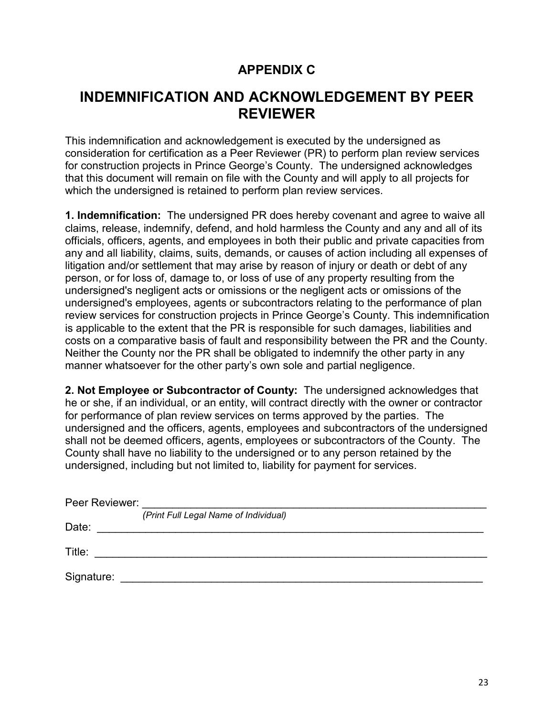### **APPENDIX C**

### **INDEMNIFICATION AND ACKNOWLEDGEMENT BY PEER REVIEWER**

This indemnification and acknowledgement is executed by the undersigned as consideration for certification as a Peer Reviewer (PR) to perform plan review services for construction projects in Prince George's County. The undersigned acknowledges that this document will remain on file with the County and will apply to all projects for which the undersigned is retained to perform plan review services.

**1. Indemnification:** The undersigned PR does hereby covenant and agree to waive all claims, release, indemnify, defend, and hold harmless the County and any and all of its officials, officers, agents, and employees in both their public and private capacities from any and all liability, claims, suits, demands, or causes of action including all expenses of litigation and/or settlement that may arise by reason of injury or death or debt of any person, or for loss of, damage to, or loss of use of any property resulting from the undersigned's negligent acts or omissions or the negligent acts or omissions of the undersigned's employees, agents or subcontractors relating to the performance of plan review services for construction projects in Prince George's County. This indemnification is applicable to the extent that the PR is responsible for such damages, liabilities and costs on a comparative basis of fault and responsibility between the PR and the County. Neither the County nor the PR shall be obligated to indemnify the other party in any manner whatsoever for the other party's own sole and partial negligence.

**2. Not Employee or Subcontractor of County:** The undersigned acknowledges that he or she, if an individual, or an entity, will contract directly with the owner or contractor for performance of plan review services on terms approved by the parties. The undersigned and the officers, agents, employees and subcontractors of the undersigned shall not be deemed officers, agents, employees or subcontractors of the County. The County shall have no liability to the undersigned or to any person retained by the undersigned, including but not limited to, liability for payment for services.

| Peer Reviewer: |                                       |
|----------------|---------------------------------------|
|                | (Print Full Legal Name of Individual) |
| Date:          |                                       |
| Title:         |                                       |
| Signature:     |                                       |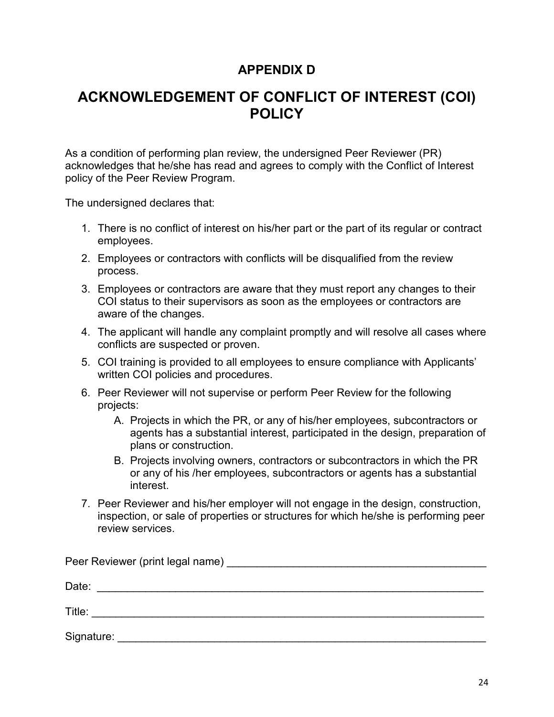### **APPENDIX D**

### **ACKNOWLEDGEMENT OF CONFLICT OF INTEREST (COI) POLICY**

As a condition of performing plan review, the undersigned Peer Reviewer (PR) acknowledges that he/she has read and agrees to comply with the Conflict of Interest policy of the Peer Review Program.

The undersigned declares that:

- 1. There is no conflict of interest on his/her part or the part of its regular or contract employees.
- 2. Employees or contractors with conflicts will be disqualified from the review process.
- 3. Employees or contractors are aware that they must report any changes to their COI status to their supervisors as soon as the employees or contractors are aware of the changes.
- 4. The applicant will handle any complaint promptly and will resolve all cases where conflicts are suspected or proven.
- 5. COI training is provided to all employees to ensure compliance with Applicants' written COI policies and procedures.
- 6. Peer Reviewer will not supervise or perform Peer Review for the following projects:
	- A. Projects in which the PR, or any of his/her employees, subcontractors or agents has a substantial interest, participated in the design, preparation of plans or construction.
	- B. Projects involving owners, contractors or subcontractors in which the PR or any of his /her employees, subcontractors or agents has a substantial interest.
- 7. Peer Reviewer and his/her employer will not engage in the design, construction, inspection, or sale of properties or structures for which he/she is performing peer review services.

| Date:      |  |
|------------|--|
| Title:     |  |
| Signature: |  |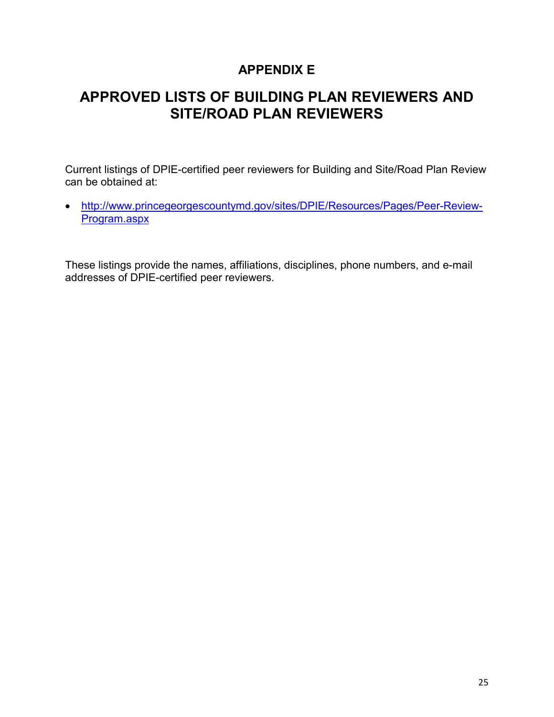### **APPENDIX E**

### **APPROVED LISTS OF BUILDING PLAN REVIEWERS AND SITE/ROAD PLAN REVIEWERS**

Current listings of DPIE-certified peer reviewers for Building and Site/Road Plan Review can be obtained at:

• [http://www.princegeorgescountymd.gov/sites/DPIE/Resources/Pages/Peer-Review-](http://www.princegeorgescountymd.gov/sites/DPIE/Resources/Pages/Peer-Review-Program.aspx)[Program.aspx](http://www.princegeorgescountymd.gov/sites/DPIE/Resources/Pages/Peer-Review-Program.aspx)

These listings provide the names, affiliations, disciplines, phone numbers, and e-mail addresses of DPIE-certified peer reviewers.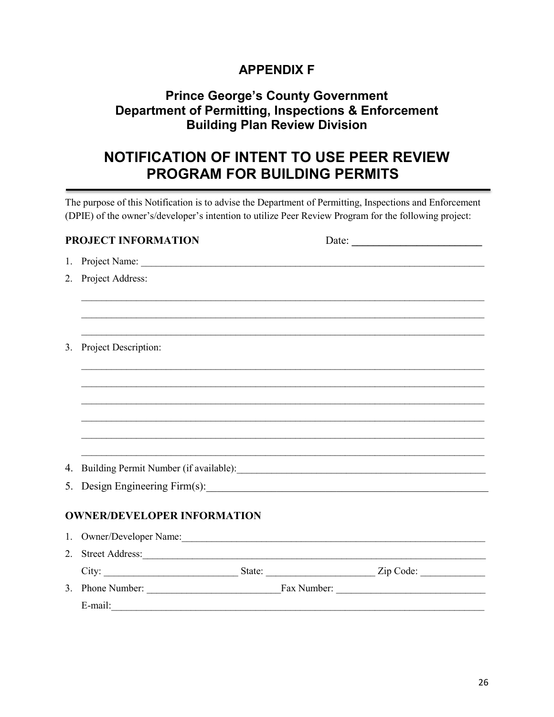### **APPENDIX F**

### **Prince George's County Government Department of Permitting, Inspections & Enforcement Building Plan Review Division**

### **NOTIFICATION OF INTENT TO USE PEER REVIEW PROGRAM FOR BUILDING PERMITS**

The purpose of this Notification is to advise the Department of Permitting, Inspections and Enforcement (DPIE) of the owner's/developer's intention to utilize Peer Review Program for the following project:

|    | <b>PROJECT INFORMATION</b>         | Date: $\frac{1}{\sqrt{1-\frac{1}{2}} \cdot \frac{1}{2}}$ |
|----|------------------------------------|----------------------------------------------------------|
|    | 1. Project Name:                   |                                                          |
|    | 2. Project Address:                |                                                          |
|    |                                    |                                                          |
|    |                                    |                                                          |
|    |                                    |                                                          |
| 3. | Project Description:               |                                                          |
|    |                                    |                                                          |
|    |                                    |                                                          |
|    |                                    |                                                          |
|    |                                    |                                                          |
|    |                                    |                                                          |
| 4. |                                    |                                                          |
|    | 5. Design Engineering Firm(s):     |                                                          |
|    | <b>OWNER/DEVELOPER INFORMATION</b> |                                                          |
|    | 1. Owner/Developer Name:           |                                                          |
|    |                                    |                                                          |
|    |                                    |                                                          |
|    |                                    |                                                          |
|    |                                    |                                                          |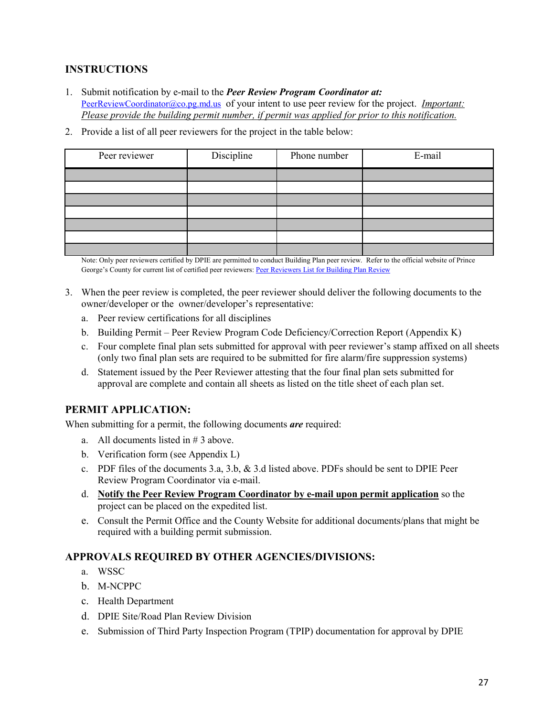#### **INSTRUCTIONS**

- 1. Submit notification by e-mail to the *Peer Review Program Coordinator at:*  [PeerReviewCoordinator@co.pg.md.us](mailto:PeerReviewCoordinator@co.pg.md.us) of your intent to use peer review for the project. *Important: Please provide the building permit number, if permit was applied for prior to this notification.*
- 2. Provide a list of all peer reviewers for the project in the table below:

| Peer reviewer | Discipline | Phone number | E-mail |
|---------------|------------|--------------|--------|
|               |            |              |        |
|               |            |              |        |
|               |            |              |        |
|               |            |              |        |
|               |            |              |        |
|               |            |              |        |
|               |            |              |        |

Note: Only peer reviewers certified by DPIE are permitted to conduct Building Plan peer review. Refer to the official website of Prince George's County for current list of certified peer reviewers: [Peer Reviewers List for Building Plan Review](http://www.princegeorgescountymd.gov/sites/DPIE/Resources/Pages/Peer-Review-Program.aspx)

- 3. When the peer review is completed, the peer reviewer should deliver the following documents to the owner/developer or the owner/developer's representative:
	- a. Peer review certifications for all disciplines
	- b. Building Permit Peer Review Program Code Deficiency/Correction Report (Appendix K)
	- c. Four complete final plan sets submitted for approval with peer reviewer's stamp affixed on all sheets (only two final plan sets are required to be submitted for fire alarm/fire suppression systems)
	- d. Statement issued by the Peer Reviewer attesting that the four final plan sets submitted for approval are complete and contain all sheets as listed on the title sheet of each plan set.

#### **PERMIT APPLICATION:**

When submitting for a permit, the following documents *are* required:

- a. All documents listed in # 3 above.
- b. Verification form (see Appendix L)
- c. PDF files of the documents 3.a, 3.b, & 3.d listed above. PDFs should be sent to DPIE Peer Review Program Coordinator via e-mail.
- d. **Notify the Peer Review Program Coordinator by e-mail upon permit application** so the project can be placed on the expedited list.
- e. Consult the Permit Office and the County Website for additional documents/plans that might be required with a building permit submission.

#### **APPROVALS REQUIRED BY OTHER AGENCIES/DIVISIONS:**

- a. WSSC
- b. M-NCPPC
- c. Health Department
- d. DPIE Site/Road Plan Review Division
- e. Submission of Third Party Inspection Program (TPIP) documentation for approval by DPIE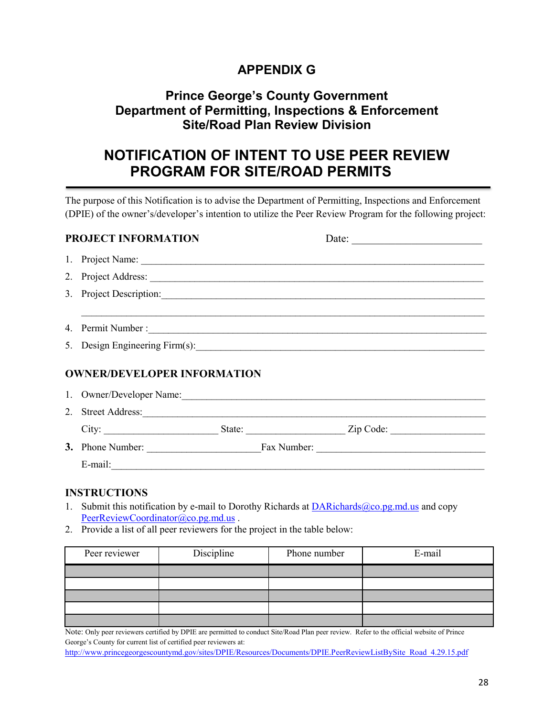### **APPENDIX G**

### **Prince George's County Government Department of Permitting, Inspections & Enforcement Site/Road Plan Review Division**

### **NOTIFICATION OF INTENT TO USE PEER REVIEW PROGRAM FOR SITE/ROAD PERMITS**

The purpose of this Notification is to advise the Department of Permitting, Inspections and Enforcement (DPIE) of the owner's/developer's intention to utilize the Peer Review Program for the following project:

| <b>PROJECT INFORMATION</b>         | Date:                                                                                                                                                                                                                          |
|------------------------------------|--------------------------------------------------------------------------------------------------------------------------------------------------------------------------------------------------------------------------------|
|                                    | 1. Project Name:                                                                                                                                                                                                               |
|                                    |                                                                                                                                                                                                                                |
|                                    | 3. Project Description:                                                                                                                                                                                                        |
|                                    |                                                                                                                                                                                                                                |
|                                    |                                                                                                                                                                                                                                |
|                                    |                                                                                                                                                                                                                                |
| <b>OWNER/DEVELOPER INFORMATION</b> |                                                                                                                                                                                                                                |
|                                    | 1. Owner/Developer Name: 1. Communication of the United States of the United States of the United States of the United States of the United States of the United States of the United States of the United States of the Unite |
|                                    | 2. Street Address:                                                                                                                                                                                                             |
|                                    |                                                                                                                                                                                                                                |
|                                    |                                                                                                                                                                                                                                |
|                                    |                                                                                                                                                                                                                                |
|                                    |                                                                                                                                                                                                                                |

#### **INSTRUCTIONS**

- 1. Submit this notification by e-mail to Dorothy Richards at  $DARichards@co.pg.md.us$  and copy [PeerReviewCoordinator@co.pg.md.us](mailto:PeerReviewCoordinator@co.pg.md.us).
- 2. Provide a list of all peer reviewers for the project in the table below:

| Peer reviewer | Discipline | Phone number | E-mail |  |  |
|---------------|------------|--------------|--------|--|--|
|               |            |              |        |  |  |
|               |            |              |        |  |  |
|               |            |              |        |  |  |
|               |            |              |        |  |  |
|               |            |              |        |  |  |

Note: Only peer reviewers certified by DPIE are permitted to conduct Site/Road Plan peer review. Refer to the official website of Prince George's County for current list of certified peer reviewers at:

[http://www.princegeorgescountymd.gov/sites/DPIE/Resources/Documents/DPIE.PeerReviewListBySite\\_Road\\_4.29.15.pdf](http://www.princegeorgescountymd.gov/sites/DPIE/Resources/Documents/DPIE.PeerReviewListBySite_Road_4.29.15.pdf)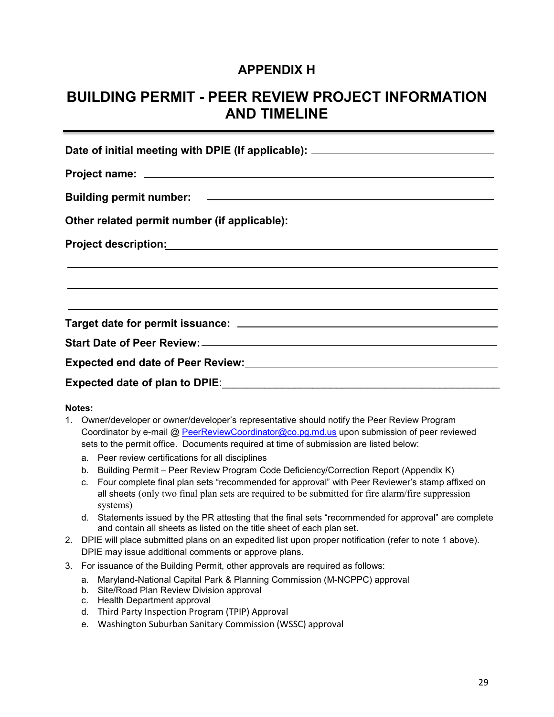### **APPENDIX H**

### **BUILDING PERMIT - PEER REVIEW PROJECT INFORMATION AND TIMELINE**

| Date of initial meeting with DPIE (If applicable): _____________________________                                      |  |  |  |  |  |  |  |
|-----------------------------------------------------------------------------------------------------------------------|--|--|--|--|--|--|--|
|                                                                                                                       |  |  |  |  |  |  |  |
|                                                                                                                       |  |  |  |  |  |  |  |
| Other related permit number (if applicable): ___________________________________                                      |  |  |  |  |  |  |  |
|                                                                                                                       |  |  |  |  |  |  |  |
| <u> 2000 - Andrea Andrea Andrea Andrea Andrea Andrea Andrea Andrea Andrea Andrea Andrea Andrea Andrea Andrea Andr</u> |  |  |  |  |  |  |  |
| ,我们也不能在这里的时候,我们也不能在这里的时候,我们也不能会在这里的时候,我们也不能会在这里的时候,我们也不能会在这里的时候,我们也不能会在这里的时候,我们也                                      |  |  |  |  |  |  |  |
|                                                                                                                       |  |  |  |  |  |  |  |
|                                                                                                                       |  |  |  |  |  |  |  |
|                                                                                                                       |  |  |  |  |  |  |  |

#### **Notes:**

- 1. Owner/developer or owner/developer's representative should notify the Peer Review Program Coordinator by e-mail @ [PeerReviewCoordinator@co.pg.md.us](mailto:PeerReviewCoordinator@co.pg.md.us) upon submission of peer reviewed sets to the permit office. Documents required at time of submission are listed below:
	- a. Peer review certifications for all disciplines
	- b. Building Permit Peer Review Program Code Deficiency/Correction Report (Appendix K)
	- c. Four complete final plan sets "recommended for approval" with Peer Reviewer's stamp affixed on all sheets (only two final plan sets are required to be submitted for fire alarm/fire suppression systems)
	- d. Statements issued by the PR attesting that the final sets "recommended for approval" are complete and contain all sheets as listed on the title sheet of each plan set.
- 2. DPIE will place submitted plans on an expedited list upon proper notification (refer to note 1 above). DPIE may issue additional comments or approve plans.
- 3. For issuance of the Building Permit, other approvals are required as follows:
	- a. Maryland-National Capital Park & Planning Commission (M-NCPPC) approval
	- b. Site/Road Plan Review Division approval
	- c. Health Department approval
	- d. Third Party Inspection Program (TPIP) Approval
	- e. Washington Suburban Sanitary Commission (WSSC) approval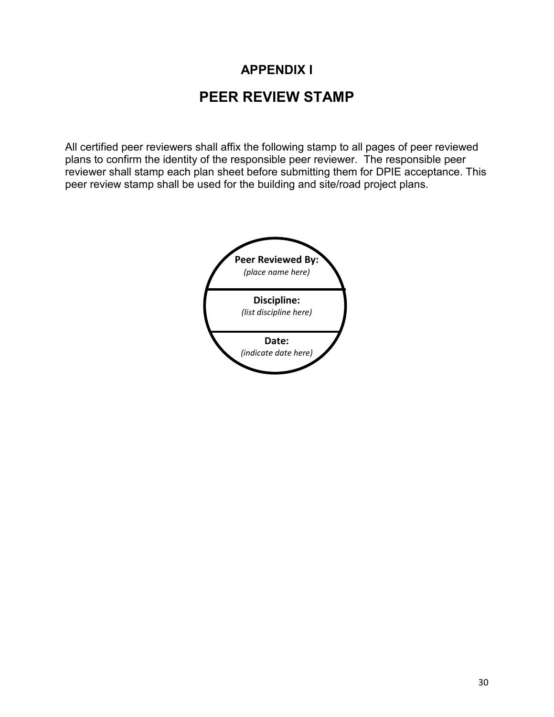## **APPENDIX I PEER REVIEW STAMP**

All certified peer reviewers shall affix the following stamp to all pages of peer reviewed plans to confirm the identity of the responsible peer reviewer. The responsible peer reviewer shall stamp each plan sheet before submitting them for DPIE acceptance. This peer review stamp shall be used for the building and site/road project plans.

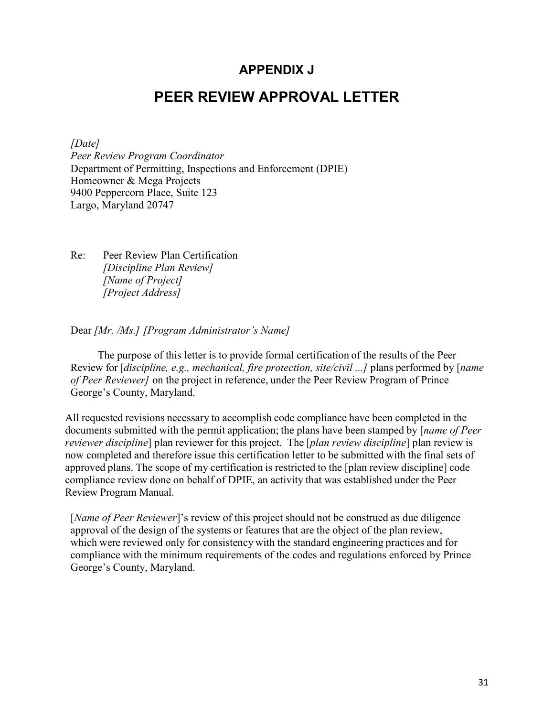#### **APPENDIX J**

#### **PEER REVIEW APPROVAL LETTER**

*[Date]*

*Peer Review Program Coordinator* Department of Permitting, Inspections and Enforcement (DPIE) Homeowner & Mega Projects 9400 Peppercorn Place, Suite 123 Largo, Maryland 20747

Re: Peer Review Plan Certification *[Discipline Plan Review] [Name of Project] [Project Address]*

Dear *[Mr. /Ms.] [Program Administrator's Name]*

The purpose of this letter is to provide formal certification of the results of the Peer Review for [*discipline, e.g., mechanical, fire protection, site/civil ...]* plans performed by [*name of Peer Reviewer]* on the project in reference, under the Peer Review Program of Prince George's County, Maryland.

All requested revisions necessary to accomplish code compliance have been completed in the documents submitted with the permit application; the plans have been stamped by [*name of Peer reviewer discipline*] plan reviewer for this project. The [*plan review discipline*] plan review is now completed and therefore issue this certification letter to be submitted with the final sets of approved plans. The scope of my certification is restricted to the [plan review discipline] code compliance review done on behalf of DPIE, an activity that was established under the Peer Review Program Manual.

[*Name of Peer Reviewer*]'s review of this project should not be construed as due diligence approval of the design of the systems or features that are the object of the plan review, which were reviewed only for consistency with the standard engineering practices and for compliance with the minimum requirements of the codes and regulations enforced by Prince George's County, Maryland.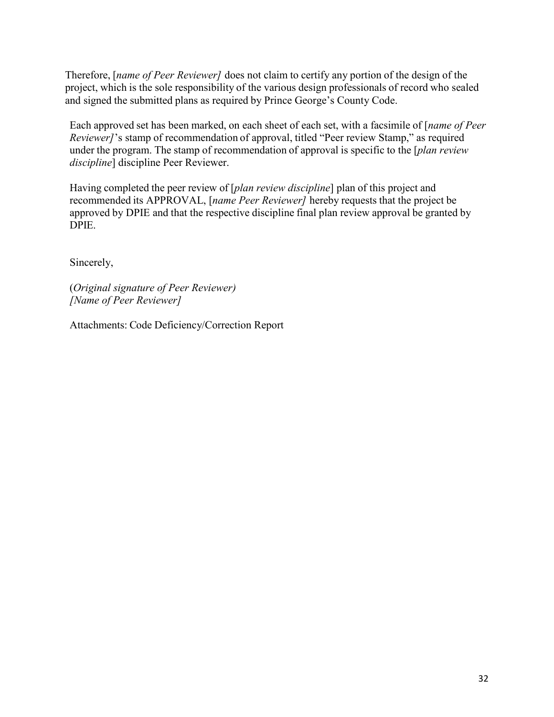Therefore, [*name of Peer Reviewer]* does not claim to certify any portion of the design of the project, which is the sole responsibility of the various design professionals of record who sealed and signed the submitted plans as required by Prince George's County Code.

Each approved set has been marked, on each sheet of each set, with a facsimile of [*name of Peer Reviewer]*'s stamp of recommendation of approval, titled "Peer review Stamp," as required under the program. The stamp of recommendation of approval is specific to the [*plan review discipline*] discipline Peer Reviewer.

Having completed the peer review of [*plan review discipline*] plan of this project and recommended its APPROVAL, [*name Peer Reviewer]* hereby requests that the project be approved by DPIE and that the respective discipline final plan review approval be granted by DPIE.

Sincerely,

(*Original signature of Peer Reviewer) [Name of Peer Reviewer]*

Attachments: Code Deficiency/Correction Report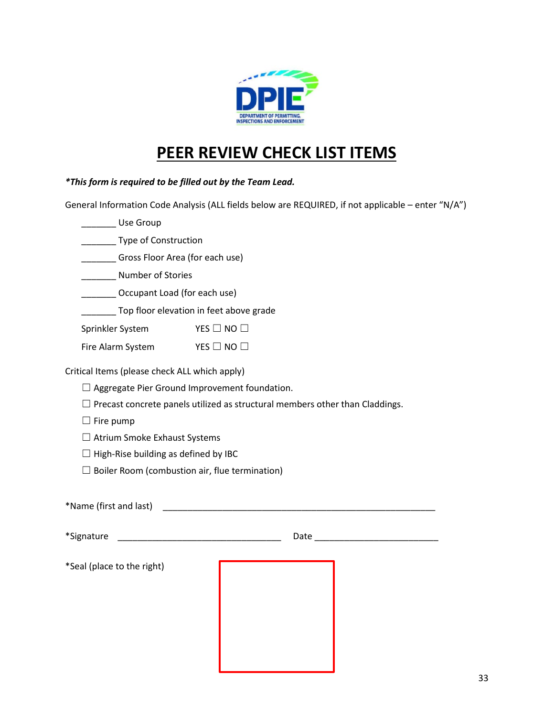

### **PEER REVIEW CHECK LIST ITEMS**

*\*This form is required to be filled out by the Team Lead.*

General Information Code Analysis (ALL fields below are REQUIRED, if not applicable – enter "N/A")

\_\_\_\_\_\_\_ Use Group

\_\_\_\_\_\_\_ Type of Construction

\_\_\_\_\_\_\_ Gross Floor Area (for each use)

\_\_\_\_\_\_\_ Number of Stories

\_\_\_\_\_\_\_ Occupant Load (for each use)

**Top floor elevation in feet above grade** 

Sprinkler System YES □ NO □

Fire Alarm System YES □ NO □

Critical Items (please check ALL which apply)

□ Aggregate Pier Ground Improvement foundation.

 $\Box$  Precast concrete panels utilized as structural members other than Claddings.

 $\Box$  Fire pump

☐ Atrium Smoke Exhaust Systems

 $\Box$  High-Rise building as defined by IBC

 $\Box$  Boiler Room (combustion air, flue termination)

| *Name (first and last)     |      |  |
|----------------------------|------|--|
| *Signature                 | Date |  |
| *Seal (place to the right) |      |  |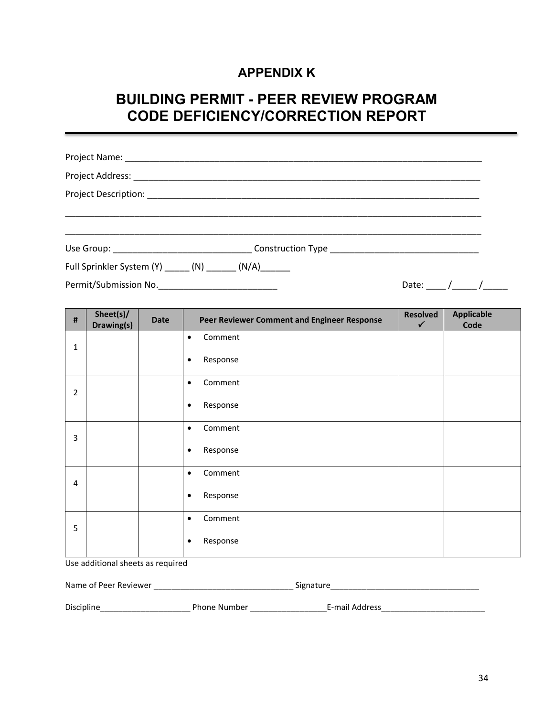### **APPENDIX K**

### **BUILDING PERMIT - PEER REVIEW PROGRAM CODE DEFICIENCY/CORRECTION REPORT**

|                                                            | Use Group: example and the construction of the construction of the construction of the construction of the construction of the construction of the construction of the construction of the construction of the construction of |       |            |  |
|------------------------------------------------------------|--------------------------------------------------------------------------------------------------------------------------------------------------------------------------------------------------------------------------------|-------|------------|--|
| Full Sprinkler System (Y) ______ (N) _______ (N/A) _______ |                                                                                                                                                                                                                                |       |            |  |
|                                                            |                                                                                                                                                                                                                                | Date: | $\sqrt{2}$ |  |

| $\sharp$       | Sheet(s)/<br>Drawing(s) | <b>Date</b> | Peer Reviewer Comment and Engineer Response | <b>Resolved</b><br>$\checkmark$ | <b>Applicable</b><br>Code |
|----------------|-------------------------|-------------|---------------------------------------------|---------------------------------|---------------------------|
| $\mathbf{1}$   |                         |             | Comment<br>$\bullet$                        |                                 |                           |
|                |                         |             | Response<br>$\bullet$                       |                                 |                           |
| $\overline{2}$ |                         |             | Comment<br>$\bullet$                        |                                 |                           |
|                |                         |             | Response<br>$\bullet$                       |                                 |                           |
| 3              |                         |             | Comment<br>$\bullet$                        |                                 |                           |
|                |                         |             | Response<br>$\bullet$                       |                                 |                           |
| $\overline{4}$ |                         |             | Comment<br>$\bullet$                        |                                 |                           |
|                |                         |             | Response<br>$\bullet$                       |                                 |                           |
| 5              |                         |             | Comment<br>$\bullet$                        |                                 |                           |
|                |                         |             | Response<br>$\bullet$                       |                                 |                           |

Use additional sheets as required

| Name of Peer Reviewer |                     | Signature      |  |  |
|-----------------------|---------------------|----------------|--|--|
|                       |                     |                |  |  |
| Discipline            | <b>Phone Number</b> | E-mail Address |  |  |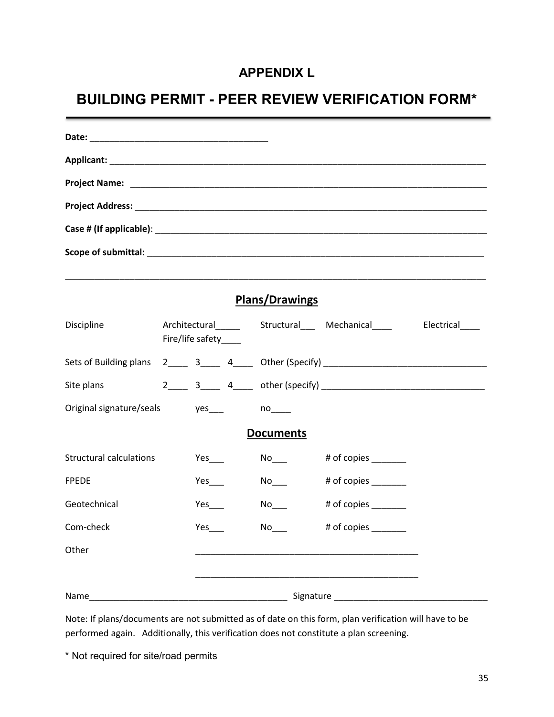### **APPENDIX L**

### **BUILDING PERMIT - PEER REVIEW VERIFICATION FORM\***

|                                 |                       |               | <b>Plans/Drawings</b> |                                                                                       |  |
|---------------------------------|-----------------------|---------------|-----------------------|---------------------------------------------------------------------------------------|--|
| Discipline                      | Fire/life safety____  |               |                       | Architectural____________Structural__________________________________Electrical______ |  |
|                                 |                       |               |                       |                                                                                       |  |
| Site plans                      |                       |               |                       |                                                                                       |  |
| Original signature/seals yes___ |                       |               | $no_{\_\_\_\_}$       |                                                                                       |  |
|                                 |                       |               | <b>Documents</b>      |                                                                                       |  |
| <b>Structural calculations</b>  |                       |               |                       |                                                                                       |  |
| <b>FPEDE</b>                    |                       | $Yes$ and $X$ |                       | # of copies                                                                           |  |
| Geotechnical                    |                       |               |                       | # of copies _______                                                                   |  |
| Com-check                       | $Yes$ <sub>____</sub> |               |                       | # of copies _______                                                                   |  |
| Other                           |                       |               |                       |                                                                                       |  |
|                                 |                       |               |                       |                                                                                       |  |
| Name                            |                       |               |                       |                                                                                       |  |

Note: If plans/documents are not submitted as of date on this form, plan verification will have to be performed again. Additionally, this verification does not constitute a plan screening.

\* Not required for site/road permits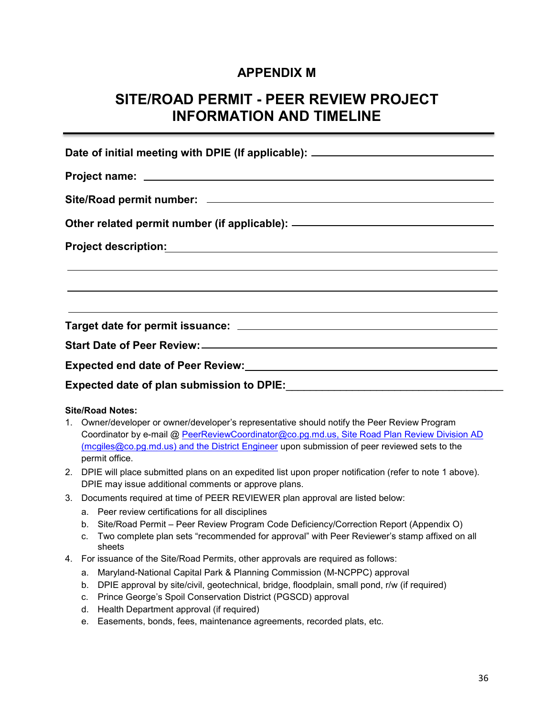#### **APPENDIX M**

### **SITE/ROAD PERMIT - PEER REVIEW PROJECT INFORMATION AND TIMELINE**

| Date of initial meeting with DPIE (If applicable): _____________________________                                          |  |  |  |  |  |  |  |
|---------------------------------------------------------------------------------------------------------------------------|--|--|--|--|--|--|--|
|                                                                                                                           |  |  |  |  |  |  |  |
|                                                                                                                           |  |  |  |  |  |  |  |
| Other related permit number (if applicable): ___________________________________                                          |  |  |  |  |  |  |  |
| <u> 1990 - Jan Samuel Barbara, martin da shekara ta 1991 - An tsara tsara tsara tsara tsara tsara tsara tsara tsa</u>     |  |  |  |  |  |  |  |
| <u>a sa mga bagayan ng mga bagayang ng mga bagayang ng mga bagayang ng mga bagayang ng mga bagayang ng mga bagayang n</u> |  |  |  |  |  |  |  |
| <u> 1989 - Andrea Santana, amerikana amerikana amerikana amerikana amerikana amerikana amerikana amerikana amerika</u>    |  |  |  |  |  |  |  |
|                                                                                                                           |  |  |  |  |  |  |  |
| Expected end date of Peer Review:<br><u>Expected end date of Peer Review:</u>                                             |  |  |  |  |  |  |  |
|                                                                                                                           |  |  |  |  |  |  |  |

#### **Site/Road Notes:**

- 1. Owner/developer or owner/developer's representative should notify the Peer Review Program Coordinator by e-mail @ [PeerReviewCoordinator@co.pg.md.us,](mailto:PeerReviewCoordinator@co.pg.md.us) Site Road Plan Review Division AD [\(mcgiles@co.pg.md.us\)](mailto:mcgiles@co.pg.md.us) and the District Engineer upon submission of peer reviewed sets to the permit office.
- 2. DPIE will place submitted plans on an expedited list upon proper notification (refer to note 1 above). DPIE may issue additional comments or approve plans.
- 3. Documents required at time of PEER REVIEWER plan approval are listed below:
	- a. Peer review certifications for all disciplines
	- b. Site/Road Permit Peer Review Program Code Deficiency/Correction Report (Appendix O)
	- c. Two complete plan sets "recommended for approval" with Peer Reviewer's stamp affixed on all sheets
- 4. For issuance of the Site/Road Permits, other approvals are required as follows:
	- a. Maryland-National Capital Park & Planning Commission (M-NCPPC) approval
	- b. DPIE approval by site/civil, geotechnical, bridge, floodplain, small pond, r/w (if required)
	- c. Prince George's Spoil Conservation District (PGSCD) approval
	- d. Health Department approval (if required)
	- e. Easements, bonds, fees, maintenance agreements, recorded plats, etc.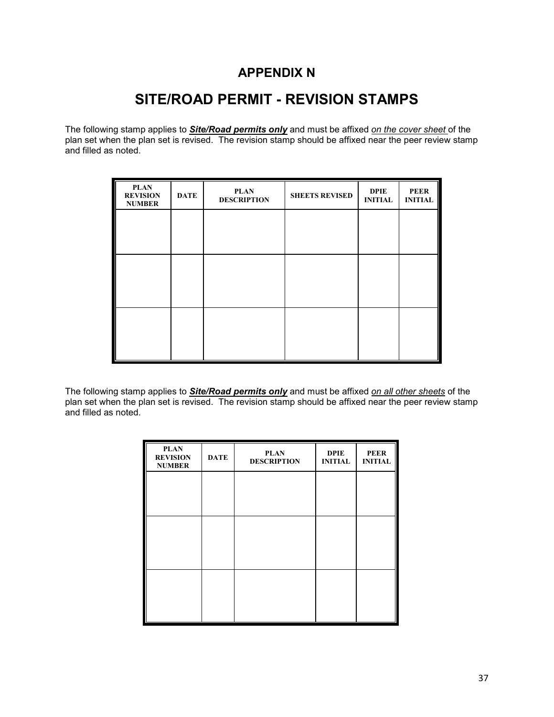#### **APPENDIX N**

### **SITE/ROAD PERMIT - REVISION STAMPS**

The following stamp applies to *Site/Road permits only* and must be affixed *on the cover sheet* of the plan set when the plan set is revised. The revision stamp should be affixed near the peer review stamp and filled as noted.

| <b>PLAN</b><br><b>REVISION</b><br><b>NUMBER</b> | <b>DATE</b> | <b>PLAN</b><br><b>DESCRIPTION</b> | <b>SHEETS REVISED</b> | <b>DPIE</b><br><b>INITIAL</b> | <b>PEER</b><br><b>INITIAL</b> |
|-------------------------------------------------|-------------|-----------------------------------|-----------------------|-------------------------------|-------------------------------|
|                                                 |             |                                   |                       |                               |                               |
|                                                 |             |                                   |                       |                               |                               |
|                                                 |             |                                   |                       |                               |                               |
|                                                 |             |                                   |                       |                               |                               |
|                                                 |             |                                   |                       |                               |                               |
|                                                 |             |                                   |                       |                               |                               |

The following stamp applies to *Site/Road permits only* and must be affixed *on all other sheets* of the plan set when the plan set is revised. The revision stamp should be affixed near the peer review stamp plan set is revised. The revision stamp should be affixed near the peer review stamp and filled as noted.

| <b>DATE</b> | <b>PLAN</b><br><b>DESCRIPTION</b> | <b>DPIE</b><br><b>INITIAL</b> | <b>PEER</b><br><b>INITIAL</b> |
|-------------|-----------------------------------|-------------------------------|-------------------------------|
|             |                                   |                               |                               |
|             |                                   |                               |                               |
|             |                                   |                               |                               |
|             |                                   |                               |                               |
|             |                                   |                               |                               |
|             |                                   |                               |                               |
|             |                                   |                               |                               |